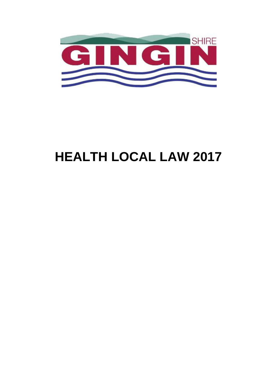

# **HEALTH LOCAL LAW 2017**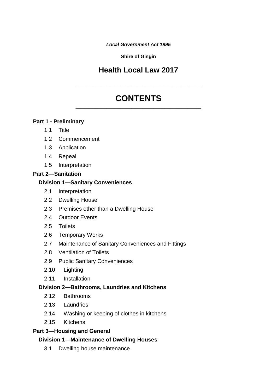*Local Government Act 1995*

**Shire of Gingin**

# **Health Local Law 2017**

# **CONTENTS** \_\_\_\_\_\_\_\_\_\_\_\_\_\_\_\_\_\_\_\_\_\_\_\_\_\_\_\_\_\_\_\_\_\_\_\_\_\_\_\_\_\_\_\_\_

\_\_\_\_\_\_\_\_\_\_\_\_\_\_\_\_\_\_\_\_\_\_\_\_\_\_\_\_\_\_\_\_\_\_\_\_\_\_\_\_\_\_\_\_\_

#### **[Part 1 - Preliminary](#page-8-0)**

- 1.1 [Title](#page-8-1)
- [1.2](#page-8-2) [Commencement](#page-8-2)
- [1.3](#page-8-3) [Application](#page-8-3)
- [1.4](#page-8-4) [Repeal](#page-8-4)
- [1.5](#page-8-5) [Interpretation](#page-8-5)

#### **[Part 2—Sanitation](#page-11-0)**

#### **[Division 1—Sanitary Conveniences](#page-11-1)**

- [2.1](#page-11-2) [Interpretation](#page-11-2)
- [2.2](#page-12-0) [Dwelling House](#page-12-0)
- [2.3](#page-12-1) [Premises other than a Dwelling House](#page-12-1)
- [2.4](#page-13-0) [Outdoor Events](#page-13-0)
- [2.5](#page-13-1) [Toilets](#page-13-1)
- [2.6](#page-14-0) [Temporary Works](#page-14-0)
- [2.7](#page-14-1) [Maintenance of Sanitary Conveniences and Fittings](#page-14-1)
- [2.8](#page-14-2) [Ventilation of Toilets](#page-14-2)
- [2.9](#page-14-3) [Public Sanitary Conveniences](#page-14-3)
- [2.10](#page-15-0) [Lighting](#page-15-0)
- [2.11](#page-15-1) [Installation](#page-15-1)

## **[Division 2—Bathrooms, Laundries and Kitchens](#page-15-2)**

- [2.12](#page-15-3) [Bathrooms](#page-15-3)
- [2.13](#page-16-0) [Laundries](#page-16-0)
- [2.14](#page-16-1) [Washing or keeping of clothes in kitchens](#page-16-1)
- [2.15](#page-17-0) [Kitchens](#page-17-0)

## **[Part 3—Housing and General](#page-17-1)**

## **[Division 1—Maintenance of Dwelling Houses](#page-17-2)**

[3.1](#page-17-3) [Dwelling house maintenance](#page-17-3)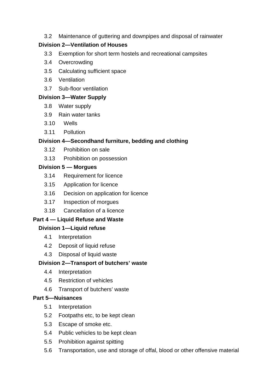[3.2](#page-18-0) [Maintenance of guttering and downpipes and disposal of rainwater](#page-18-0)

# **[Division 2—Ventilation of Houses](#page-18-1)**

- [3.3](#page-18-2) [Exemption for short term hostels and recreational campsites](#page-18-2)
- [3.4](#page-19-0) [Overcrowding](#page-19-0)
- [3.5](#page-19-1) [Calculating sufficient space](#page-19-1)
- [3.6](#page-19-2) [Ventilation](#page-19-2)
- [3.7](#page-20-0) [Sub-floor ventilation](#page-20-0)

# **[Division 3—Water Supply](#page-20-1)**

- [3.8](#page-20-2) [Water supply](#page-20-2)
- [3.9](#page-20-3) [Rain water tanks](#page-20-3)
- [3.10](#page-21-0) [Wells](#page-21-0)
- [3.11](#page-21-1) [Pollution](#page-21-1)

# **[Division 4—Secondhand furniture, bedding and clothing](#page-21-2)**

- [3.12](#page-21-3) [Prohibition on sale](#page-21-3)
- [3.13](#page-21-4) [Prohibition on possession](#page-21-4)

# **[Division 5 — Morgues](#page-21-5)**

- [3.14](#page-21-6) [Requirement for licence](#page-21-6)
- [3.15](#page-21-7) [Application for licence](#page-21-7)
- [3.16](#page-22-0) [Decision on application for licence](#page-22-0)
- [3.17](#page-23-0) [Inspection of morgues](#page-23-0)
- [3.18](#page-23-1) [Cancellation of a licence](#page-23-1)

# **[Part 4 — Liquid Refuse and Waste](#page-24-0)**

# **[Division 1—Liquid refuse](#page-24-1)**

- [4.1](#page-24-2) [Interpretation](#page-24-2)
- [4.2](#page-24-3) [Deposit of liquid refuse](#page-24-3)
- [4.3](#page-24-4) [Disposal of liquid waste](#page-24-4)

# **[Division 2—Transport of butchers' waste](#page-25-0)**

- [4.4](#page-25-1) [Interpretation](#page-25-1)
- [4.5](#page-25-2) [Restriction of vehicles](#page-25-2)
- [4.6](#page-25-3) [Transport of butchers' waste](#page-25-3)

# **[Part 5—Nuisances](#page-26-0)**

- [5.1](#page-26-1) [Interpretation](#page-26-1)
- [5.2](#page-26-2) [Footpaths etc, to be kept clean](#page-26-2)
- [5.3](#page-26-3) [Escape of smoke etc.](#page-26-3)
- [5.4](#page-26-4) [Public vehicles to be kept clean](#page-26-4)
- [5.5](#page-27-0) [Prohibition against spitting](#page-27-0)
- [5.6](#page-27-1) [Transportation, use and storage of offal, blood or other offensive material](#page-27-1)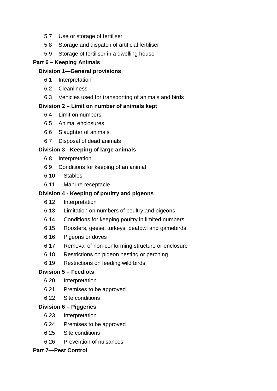- [5.7](#page-27-2) [Use or storage of fertiliser](#page-27-2)
- [5.8](#page-27-3) [Storage and dispatch of artificial fertiliser](#page-27-3)
- [5.9](#page-28-0) [Storage of fertiliser in a dwelling house](#page-28-0)

# **[Part 6 – Keeping Animals](#page-28-1)**

# **[Division 1—General provisions](#page-28-2)**

- [6.1](#page-28-3) [Interpretation](#page-28-3)
- [6.2](#page-28-4) [Cleanliness](#page-28-4)
- [6.3](#page-29-0) [Vehicles used for transporting of animals and birds](#page-29-0)

# **[Division 2 – Limit on number of animals kept](#page-29-1)**

- [6.4](#page-29-2) [Limit on numbers](#page-29-2)
- [6.5](#page-29-3) [Animal enclosures](#page-29-3)
- [6.6](#page-29-4) [Slaughter of animals](#page-29-4)
- [6.7](#page-30-0) [Disposal of dead animals](#page-30-0)

# **[Division 3 - Keeping of large animals](#page-30-1)**

- [6.8](#page-30-2) [Interpretation](#page-30-2)
- [6.9](#page-30-3) [Conditions for keeping of an animal](#page-30-3)
- [6.10](#page-31-0) [Stables](#page-31-0)
- [6.11](#page-31-1) [Manure receptacle](#page-31-1)

# **[Division 4 - Keeping of poultry and pigeons](#page-32-0)**

- [6.12](#page-32-1) [Interpretation](#page-32-1)
- [6.13](#page-32-2) [Limitation on numbers of poultry and pigeons](#page-32-2)
- [6.14](#page-32-3) [Conditions for keeping poultry in limited numbers](#page-32-3)
- [6.15](#page-33-0) [Roosters, geese, turkeys, peafowl and gamebirds](#page-33-0)
- [6.16](#page-33-1) [Pigeons or doves](#page-33-1)
- [6.17](#page-34-0) [Removal of non-conforming structure or enclosure](#page-34-0)
- [6.18](#page-34-1) [Restrictions on pigeon nesting or perching](#page-34-1)
- [6.19](#page-34-2) [Restrictions on feeding wild birds](#page-34-2)

# **[Division 5 – Feedlots](#page-34-3)**

- [6.20](#page-34-4) [Interpretation](#page-34-4)
- [6.21](#page-34-5) [Premises to be approved](#page-34-5)
- [6.22](#page-35-0) [Site conditions](#page-35-0)

# **[Division 6 – Piggeries](#page-35-1)**

- [6.23](#page-35-2) [Interpretation](#page-35-2)
- [6.24](#page-35-3) [Premises to be approved](#page-35-3)
- [6.25](#page-36-0) [Site conditions](#page-36-0)
- [6.26](#page-36-1) [Prevention of nuisances](#page-36-1)

# **[Part 7—Pest Control](#page-36-1)**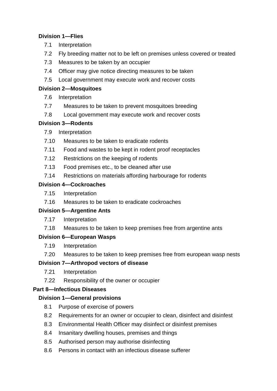# **[Division 1—Flies](#page-36-2)**

- [7.1](#page-36-3) [Interpretation](#page-36-3)
- [7.2](#page-36-4) [Fly breeding matter not to be left on premises unless covered or treated](#page-36-4)
- [7.3](#page-36-5) [Measures to be taken by an occupier](#page-36-5)
- [7.4](#page-37-0) [Officer may give notice directing measures to be taken](#page-37-0)
- [7.5](#page-37-1) [Local government may execute work and recover costs](#page-37-1)

# **[Division 2—Mosquitoes](#page-38-0)**

- [7.6](#page-38-1) [Interpretation](#page-38-1)
- [7.7](#page-38-2) [Measures to be taken to prevent mosquitoes breeding](#page-38-2)
- [7.8](#page-38-3) [Local government may execute work and recover costs](#page-38-3)

# **[Division 3—Rodents](#page-39-0)**

- [7.9](#page-39-1) [Interpretation](#page-39-1)
- [7.10](#page-39-2) [Measures to be taken to eradicate rodents](#page-39-2)
- [7.11](#page-40-0) [Food and wastes to be kept in rodent proof receptacles](#page-40-0)
- [7.12](#page-40-1) [Restrictions on the keeping of rodents](#page-40-1)
- [7.13](#page-40-2) [Food premises etc., to be cleaned after use](#page-40-2)
- [7.14](#page-40-3) [Restrictions on materials affording harbourage for rodents](#page-40-3)

# **[Division 4—Cockroaches](#page-41-0)**

- [7.15](#page-41-1) [Interpretation](#page-41-1)
- [7.16](#page-41-2) [Measures to be taken to eradicate cockroaches](#page-41-2)

# **[Division 5—Argentine Ants](#page-41-3)**

- [7.17](#page-41-4) [Interpretation](#page-41-4)
- [7.18](#page-41-5) [Measures to be taken to keep premises free from argentine ants](#page-41-5)

# **[Division 6—European Wasps](#page-42-0)**

- [7.19](#page-42-1) [Interpretation](#page-42-1)
- [7.20](#page-42-2) [Measures to be taken to keep premises free from european wasp nests](#page-42-2)

# **[Division 7—Arthropod vectors of disease](#page-42-3)**

- [7.21](#page-42-4) [Interpretation](#page-42-4)
- [7.22](#page-42-5) [Responsibility of the owner or occupier](#page-42-5)

# **[Part 8—Infectious Diseases](#page-43-0)**

# **[Division 1—General provisions](#page-43-1)**

- [8.1](#page-43-2) [Purpose of exercise of powers](#page-43-2)
- [8.2](#page-43-3) [Requirements for an owner or occupier to clean, disinfect and disinfest](#page-43-3)
- [8.3](#page-43-4) [Environmental Health Officer may disinfect or disinfest premises](#page-43-4)
- [8.4](#page-44-0) [Insanitary dwelling houses, premises and things](#page-44-0)
- [8.5](#page-44-1) [Authorised person may authorise disinfecting](#page-44-1)
- [8.6](#page-44-2) [Persons in contact with an infectious disease sufferer](#page-44-2)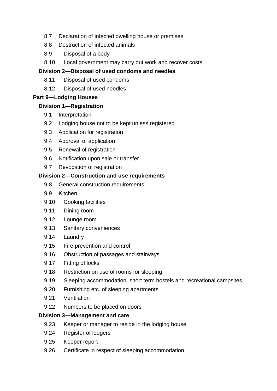- [8.7](#page-44-3) [Declaration of infected dwelling house or premises](#page-44-3)
- [8.8](#page-45-0) [Destruction of infected animals](#page-45-0)
- [8.9](#page-45-1) [Disposal of a body](#page-45-1)
- [8.10](#page-45-2) [Local government may carry out work and recover costs](#page-45-2)

# **[Division 2—Disposal of used condoms and needles](#page-46-0)**

- [8.11](#page-46-1) [Disposal of used condoms](#page-46-1)
- [8.12](#page-46-2) [Disposal of used needles](#page-46-2)

# **[Part 9—Lodging Houses](#page-46-3)**

# **[Division 1—Registration](#page-46-4)**

- [9.1](#page-46-5) [Interpretation](#page-46-5)
- [9.2](#page-47-0) [Lodging house not to be kept unless registered](#page-47-0)
- [9.3](#page-48-0) [Application for registration](#page-48-0)
- [9.4](#page-48-1) [Approval of application](#page-48-1)
- [9.5](#page-48-2) [Renewal of registration](#page-48-2)
- [9.6](#page-48-3) [Notification upon sale or transfer](#page-48-3)
- [9.7](#page-49-0) [Revocation of registration](#page-49-0)

# **[Division 2—Construction and use requirements](#page-49-1)**

- [9.8](#page-50-0) [General construction requirements](#page-50-0)
- [9.9](#page-50-1) [Kitchen](#page-50-1)
- [9.10](#page-50-2) [Cooking facilities](#page-50-2)
- [9.11](#page-50-3) [Dining room](#page-50-3)
- [9.12](#page-51-0) [Lounge room](#page-51-0)
- [9.13](#page-51-1) [Sanitary conveniences](#page-51-1)
- [9.14](#page-52-0) [Laundry](#page-52-0)
- [9.15](#page-53-0) [Fire prevention and control](#page-53-0)
- [9.16](#page-54-0) [Obstruction of passages and stairways](#page-54-0)
- [9.17](#page-54-1) [Fitting of locks](#page-54-1)
- [9.18](#page-54-2) [Restriction on use of rooms for sleeping](#page-54-2)
- [9.19](#page-55-0) [Sleeping accommodation, short term hostels and recreational campsites](#page-55-0)
- [9.20](#page-57-0) [Furnishing etc. of sleeping apartments](#page-57-0)
- [9.21](#page-58-0) [Ventilation](#page-58-0)
- [9.22](#page-58-1) [Numbers to be placed on doors](#page-58-1)

# **[Division 3—Management and care](#page-58-2)**

- [9.23](#page-58-3) [Keeper or manager to reside in the lodging house](#page-58-3)
- [9.24](#page-58-4) [Register of lodgers](#page-58-4)
- [9.25](#page-59-0) [Keeper report](#page-59-0)
- [9.26](#page-59-1) [Certificate in respect of sleeping accommodation](#page-59-1)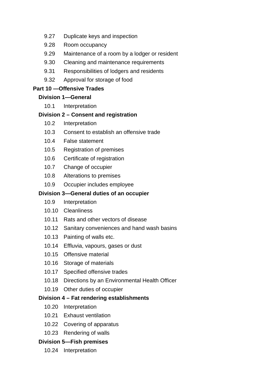- [9.27](#page-59-2) [Duplicate keys and inspection](#page-59-2)
- [9.28](#page-59-3) [Room occupancy](#page-59-3)
- [9.29](#page-60-0) [Maintenance of a room by a lodger or resident](#page-60-0)
- [9.30](#page-60-1) [Cleaning and maintenance requirements](#page-60-1)
- [9.31](#page-62-0) [Responsibilities of lodgers and residents](#page-62-0)
- [9.32](#page-63-0) [Approval for storage of food](#page-63-0)

# **[Part 10 —Offensive Trades](#page-63-1)**

# **[Division 1—General](#page-63-2)**

[10.1](#page-63-3) [Interpretation](#page-63-3)

# **[Division 2 – Consent and registration](#page-63-4)**

- [10.2](#page-63-5) [Interpretation](#page-63-5)
- [10.3](#page-64-0) [Consent to establish an offensive trade](#page-64-0)
- [10.4](#page-64-1) [False statement](#page-64-1)
- [10.5](#page-64-2) [Registration of premises](#page-64-2)
- [10.6](#page-64-3) [Certificate of registration](#page-64-3)
- [10.7](#page-64-4) [Change of occupier](#page-64-4)
- [10.8](#page-64-5) [Alterations to premises](#page-64-5)
- [10.9](#page-64-6) [Occupier includes employee](#page-64-6)

# **[Division 3—General duties of an occupier](#page-64-6)**

- [10.9](#page-64-7) [Interpretation](#page-64-7)
- [10.10](#page-65-0) [Cleanliness](#page-65-0)
- [10.11](#page-65-1) [Rats and other vectors of disease](#page-65-1)
- [10.12](#page-65-2) [Sanitary conveniences and hand wash basins](#page-65-2)
- [10.13](#page-66-0) [Painting of walls etc.](#page-66-0)
- [10.14](#page-66-1) [Effluvia, vapours, gases or dust](#page-66-1)
- [10.15](#page-66-2) [Offensive material](#page-66-2)
- [10.16](#page-66-3) [Storage of materials](#page-66-3)
- [10.17](#page-66-4) [Specified offensive trades](#page-66-4)
- [10.18](#page-67-0) [Directions by an Environmental Health Officer](#page-67-0)
- [10.19](#page-67-1) [Other duties of occupier](#page-67-1)

# **[Division 4 – Fat rendering establishments](#page-68-0)**

- [10.20](#page-68-1) [Interpretation](#page-68-1)
- [10.21](#page-68-2) [Exhaust ventilation](#page-68-2)
- [10.22](#page-68-3) [Covering of apparatus](#page-68-3)
- [10.23](#page-68-4) [Rendering of walls](#page-68-4)

# **[Division 5—Fish premises](#page-69-0)**

[10.24](#page-69-1) [Interpretation](#page-69-1)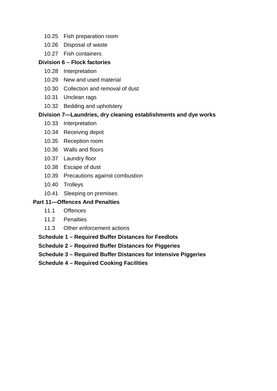- [10.25](#page-69-2) [Fish preparation room](#page-69-2)
- [10.26](#page-69-3) [Disposal of waste](#page-69-3)
- [10.27](#page-69-4) [Fish containers](#page-69-4)

# **[Division 6 – Flock factories](#page-70-0)**

- [10.28](#page-70-1) [Interpretation](#page-70-1)
- [10.29](#page-70-2) [New and used material](#page-70-2)
- [10.30](#page-70-3) [Collection and removal of dust](#page-70-3)
- [10.31](#page-70-4) [Unclean rags](#page-70-4)
- [10.32](#page-70-5) [Bedding and upholstery](#page-70-5)

# **[Division 7—Laundries, dry cleaning establishments and dye works](#page-71-0)**

- [10.33](#page-71-1) [Interpretation](#page-71-1)
- [10.34](#page-72-0) [Receiving depot](#page-72-0)
- [10.35](#page-72-1) [Reception room](#page-72-1)
- [10.36](#page-72-2) [Walls and floors](#page-72-2)
- [10.37](#page-72-3) [Laundry floor](#page-72-3)
- [10.38](#page-72-4) [Escape of dust](#page-72-4)
- [10.39](#page-73-0) [Precautions against combustion](#page-73-0)
- [10.40](#page-73-1) [Trolleys](#page-73-1)
- [10.41](#page-73-2) [Sleeping on premises](#page-73-2)

# **[Part 11—Offences And Penalties](#page-73-3)**

- [11.1](#page-73-4) [Offences](#page-73-4)
- [11.2](#page-73-5) [Penalties](#page-73-5)
- [11.3](#page-74-0) [Other enforcement actions](#page-74-0)

**[Schedule 1 – Required Buffer Distances for Feedlots](#page-74-1)**

**[Schedule 2 – Required Buffer Distances for Piggeries](#page-75-0)**

**[Schedule 3 – Required Buffer Distances for Intensive Piggeries](#page-76-0)**

**[Schedule 4 – Required Cooking Facilities](#page-77-0)**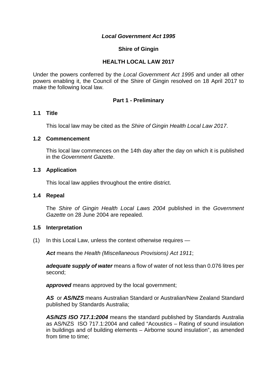#### *Local Government Act 1995*

#### **Shire of Gingin**

#### **HEALTH LOCAL LAW 2017**

Under the powers conferred by the *Local Government Act 1995* and under all other powers enabling it, the Council of the Shire of Gingin resolved on 18 April 2017 to make the following local law.

#### **Part 1 - Preliminary**

#### <span id="page-8-1"></span><span id="page-8-0"></span>**1.1 Title**

This local law may be cited as the *Shire of Gingin Health Local Law 2017*.

#### <span id="page-8-2"></span>**1.2 Commencement**

This local law commences on the 14th day after the day on which it is published in the *Government Gazette*.

#### <span id="page-8-3"></span>**1.3 Application**

This local law applies throughout the entire district.

#### <span id="page-8-4"></span>**1.4 Repeal**

The *Shire of Gingin Health Local Laws 2004* published in the *Government Gazette* on 28 June 2004 are repealed.

#### <span id="page-8-5"></span>**1.5 Interpretation**

(1) In this Local Law, unless the context otherwise requires —

*Act* means the *Health (Miscellaneous Provisions) Act 1911*;

*adequate supply of water* means a flow of water of not less than 0.076 litres per second;

**approved** means approved by the local government;

*AS* or *AS/NZS* means Australian Standard or Australian/New Zealand Standard published by Standards Australia;

*AS/NZS ISO 717.1:2004* means the standard published by Standards Australia as AS/NZS ISO 717.1:2004 and called "Acoustics – Rating of sound insulation in buildings and of building elements – Airborne sound insulation", as amended from time to time: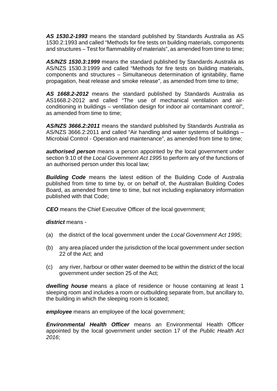*AS 1530.2-1993* means the standard published by Standards Australia as AS 1530.2:1993 and called "Methods for fire tests on building materials, components and structures – Test for flammability of materials", as amended from time to time;

*AS/NZS 1530.3:1999* means the standard published by Standards Australia as AS/NZS 1530.3:1999 and called "Methods for fire tests on building materials, components and structures – Simultaneous determination of ignitability, flame propagation, heat release and smoke release", as amended from time to time;

*AS 1668.2-2012* means the standard published by Standards Australia as AS1668.2-2012 and called "The use of mechanical ventilation and airconditioning in buildings – ventilation design for indoor air contaminant control", as amended from time to time;

*AS/NZS 3666.2:2011* means the standard published by Standards Australia as AS/NZS 3666.2:2011 and called "Air handling and water systems of buildings – Microbial Control - Operation and maintenance", as amended from time to time;

*authorised person* means a person appointed by the local government under section 9.10 of the *Local Government Act 1995* to perform any of the functions of an authorised person under this local law;

**Building Code** means the latest edition of the Building Code of Australia published from time to time by, or on behalf of, the Australian Building Codes Board, as amended from time to time, but not including explanatory information published with that Code;

*CEO* means the Chief Executive Officer of the local government;

*district* means -

- (a) the district of the local government under the *Local Government Act 1995*;
- (b) any area placed under the jurisdiction of the local government under section 22 of the Act; and
- (c) any river, harbour or other water deemed to be within the district of the local government under section 25 of the Act;

*dwelling house* means a place of residence or house containing at least 1 sleeping room and includes a room or outbuilding separate from, but ancillary to, the building in which the sleeping room is located;

*employee* means an employee of the local government;

*Environmental Health Officer* means an Environmental Health Officer appointed by the local government under section 17 of the *Public Health Act 2016*;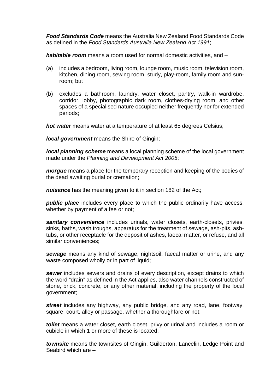*Food Standards Code* means the Australia New Zealand Food Standards Code as defined in the *Food Standards Australia New Zealand Act 1991*;

*habitable room* means a room used for normal domestic activities, and –

- (a) includes a bedroom, living room, lounge room, music room, television room, kitchen, dining room, sewing room, study, play-room, family room and sunroom; but
- (b) excludes a bathroom, laundry, water closet, pantry, walk-in wardrobe, corridor, lobby, photographic dark room, clothes-drying room, and other spaces of a specialised nature occupied neither frequently nor for extended periods;

*hot water* means water at a temperature of at least 65 degrees Celsius;

*local government* means the Shire of Gingin;

*local planning scheme* means a local planning scheme of the local government made under the *Planning and Development Act 2005*;

*morgue* means a place for the temporary reception and keeping of the bodies of the dead awaiting burial or cremation;

*nuisance* has the meaning given to it in section 182 of the Act;

**public place** includes every place to which the public ordinarily have access, whether by payment of a fee or not;

*sanitary convenience* includes urinals, water closets, earth-closets, privies, sinks, baths, wash troughs, apparatus for the treatment of sewage, ash-pits, ashtubs, or other receptacle for the deposit of ashes, faecal matter, or refuse, and all similar conveniences;

*sewage* means any kind of sewage, nightsoil, faecal matter or urine, and any waste composed wholly or in part of liquid;

*sewer* includes sewers and drains of every description, except drains to which the word "drain" as defined in the Act applies, also water channels constructed of stone, brick, concrete, or any other material, including the property of the local government;

*street* includes any highway, any public bridge, and any road, lane, footway, square, court, alley or passage, whether a thoroughfare or not;

*toilet* means a water closet, earth closet, privy or urinal and includes a room or cubicle in which 1 or more of these is located;

*townsite* means the townsites of Gingin, Guilderton, Lancelin, Ledge Point and Seabird which are –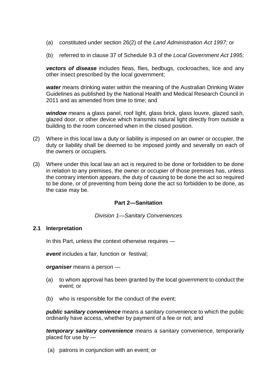- (a) constituted under section 26(2) of the *Land Administration Act 1997;* or
- (b) referred to in clause 37 of Schedule 9.3 of the *Local Government Act 1995*;

*vectors of disease* includes fleas, flies, bedbugs, cockroaches, lice and any other insect prescribed by the local government;

*water* means drinking water within the meaning of the Australian Drinking Water Guidelines as published by the National Health and Medical Research Council in 2011 and as amended from time to time; and

*window* means a glass panel, roof light, glass brick, glass louvre, glazed sash, glazed door, or other device which transmits natural light directly from outside a building to the room concerned when in the closed position.

- (2) Where in this local law a duty or liability is imposed on an owner or occupier, the duty or liability shall be deemed to be imposed jointly and severally on each of the owners or occupiers.
- (3) Where under this local law an act is required to be done or forbidden to be done in relation to any premises, the owner or occupier of those premises has, unless the contrary intention appears, the duty of causing to be done the act so required to be done, or of preventing from being done the act so forbidden to be done, as the case may be.

## **Part 2—Sanitation**

<span id="page-11-1"></span>*Division 1—Sanitary Conveniences*

## <span id="page-11-2"></span><span id="page-11-0"></span>**2.1 Interpretation**

In this Part, unless the context otherwise requires —

*event* includes a fair, function or festival;

*organiser* means a person —

- (a) to whom approval has been granted by the local government to conduct the event; or
- (b) who is responsible for the conduct of the event;

*public sanitary convenience* means a sanitary convenience to which the public ordinarily have access, whether by payment of a fee or not; and

*temporary sanitary convenience* means a sanitary convenience, temporarily placed for use by —

(a) patrons in conjunction with an event; or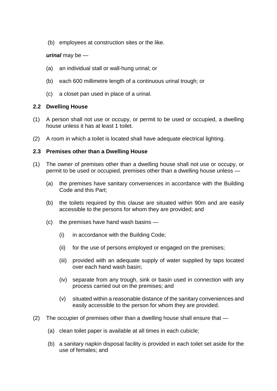(b) employees at construction sites or the like.

## *urinal* may be —

- (a) an individual stall or wall-hung urinal; or
- (b) each 600 millimetre length of a continuous urinal trough; or
- (c) a closet pan used in place of a urinal.

#### <span id="page-12-0"></span>**2.2 Dwelling House**

- (1) A person shall not use or occupy, or permit to be used or occupied, a dwelling house unless it has at least 1 toilet.
- (2) A room in which a toilet is located shall have adequate electrical lighting.

#### <span id="page-12-1"></span>**2.3 Premises other than a Dwelling House**

- (1) The owner of premises other than a dwelling house shall not use or occupy, or permit to be used or occupied, premises other than a dwelling house unless —
	- (a) the premises have sanitary conveniences in accordance with the Building Code and this Part;
	- (b) the toilets required by this clause are situated within 90m and are easily accessible to the persons for whom they are provided; and
	- (c) the premises have hand wash basins
		- (i) in accordance with the Building Code;
		- (ii) for the use of persons employed or engaged on the premises;
		- (iii) provided with an adequate supply of water supplied by taps located over each hand wash basin;
		- (iv) separate from any trough, sink or basin used in connection with any process carried out on the premises; and
		- (v) situated within a reasonable distance of the sanitary conveniences and easily accessible to the person for whom they are provided.
- (2) The occupier of premises other than a dwelling house shall ensure that
	- (a) clean toilet paper is available at all times in each cubicle;
	- (b) a sanitary napkin disposal facility is provided in each toilet set aside for the use of females; and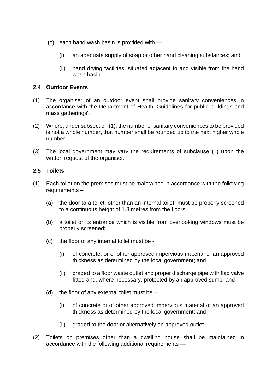- (c) each hand wash basin is provided with
	- (i) an adequate supply of soap or other hand cleaning substances; and
	- (ii) hand drying facilities, situated adjacent to and visible from the hand wash basin.

## <span id="page-13-0"></span>**2.4 Outdoor Events**

- (1) The organiser of an outdoor event shall provide sanitary conveniences in accordance with the Department of Health 'Guidelines for public buildings and mass gatherings'.
- (2) Where, under subsection (1), the number of sanitary conveniences to be provided is not a whole number, that number shall be rounded up to the next higher whole number.
- (3) The local government may vary the requirements of subclause (1) upon the written request of the organiser.

# <span id="page-13-1"></span>**2.5 Toilets**

- (1) Each toilet on the premises must be maintained in accordance with the following requirements –
	- (a) the door to a toilet, other than an internal toilet, must be properly screened to a continuous height of 1.8 metres from the floors;
	- (b) a toilet or its entrance which is visible from overlooking windows must be properly screened;
	- (c) the floor of any internal toilet must be
		- (i) of concrete, or of other approved impervious material of an approved thickness as determined by the local government; and
		- (ii) graded to a floor waste outlet and proper discharge pipe with flap valve fitted and, where necessary, protected by an approved sump; and
	- (d) the floor of any external toilet must be  $-$ 
		- (i) of concrete or of other approved impervious material of an approved thickness as determined by the local government; and
		- (ii) graded to the door or alternatively an approved outlet.
- (2) Toilets on premises other than a dwelling house shall be maintained in accordance with the following additional requirements —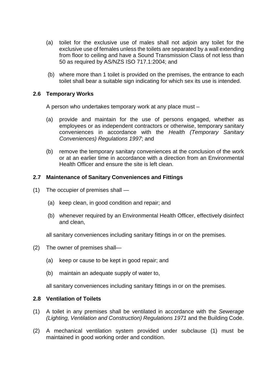- (a) toilet for the exclusive use of males shall not adjoin any toilet for the exclusive use of females unless the toilets are separated by a wall extending from floor to ceiling and have a Sound Transmission Class of not less than 50 as required by AS/NZS ISO 717.1:2004; and
- (b) where more than 1 toilet is provided on the premises, the entrance to each toilet shall bear a suitable sign indicating for which sex its use is intended.

## <span id="page-14-0"></span>**2.6 Temporary Works**

A person who undertakes temporary work at any place must –

- (a) provide and maintain for the use of persons engaged, whether as employees or as independent contractors or otherwise, temporary sanitary conveniences in accordance with the *Health (Temporary Sanitary Conveniences) Regulations 1997*; and
- (b) remove the temporary sanitary conveniences at the conclusion of the work or at an earlier time in accordance with a direction from an Environmental Health Officer and ensure the site is left clean.

## <span id="page-14-1"></span>**2.7 Maintenance of Sanitary Conveniences and Fittings**

- (1) The occupier of premises shall
	- (a) keep clean, in good condition and repair; and
	- (b) whenever required by an Environmental Health Officer, effectively disinfect and clean,

all sanitary conveniences including sanitary fittings in or on the premises.

- (2) The owner of premises shall—
	- (a) keep or cause to be kept in good repair; and
	- (b) maintain an adequate supply of water to,

all sanitary conveniences including sanitary fittings in or on the premises.

## <span id="page-14-2"></span>**2.8 Ventilation of Toilets**

- (1) A toilet in any premises shall be ventilated in accordance with the *Sewerage (Lighting, Ventilation and Construction) Regulations 1971* and the Building Code.
- <span id="page-14-3"></span>(2) A mechanical ventilation system provided under subclause (1) must be maintained in good working order and condition.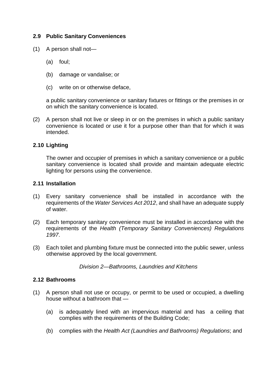# **2.9 Public Sanitary Conveniences**

- (1) A person shall not—
	- (a) foul;
	- (b) damage or vandalise; or
	- (c) write on or otherwise deface,

a public sanitary convenience or sanitary fixtures or fittings or the premises in or on which the sanitary convenience is located.

(2) A person shall not live or sleep in or on the premises in which a public sanitary convenience is located or use it for a purpose other than that for which it was intended.

## <span id="page-15-0"></span>**2.10 Lighting**

The owner and occupier of premises in which a sanitary convenience or a public sanitary convenience is located shall provide and maintain adequate electric lighting for persons using the convenience.

#### <span id="page-15-1"></span>**2.11 Installation**

- (1) Every sanitary convenience shall be installed in accordance with the requirements of the *Water Services Act 2012*, and shall have an adequate supply of water.
- (2) Each temporary sanitary convenience must be installed in accordance with the requirements of the *Health (Temporary Sanitary Conveniences) Regulations 1997*.
- <span id="page-15-2"></span>(3) Each toilet and plumbing fixture must be connected into the public sewer, unless otherwise approved by the local government.

*Division 2—Bathrooms, Laundries and Kitchens*

#### <span id="page-15-3"></span>**2.12 Bathrooms**

- (1) A person shall not use or occupy, or permit to be used or occupied, a dwelling house without a bathroom that —
	- (a) is adequately lined with an impervious material and has a ceiling that complies with the requirements of the Building Code;
	- (b) complies with the *Health Act (Laundries and Bathrooms) Regulations*; and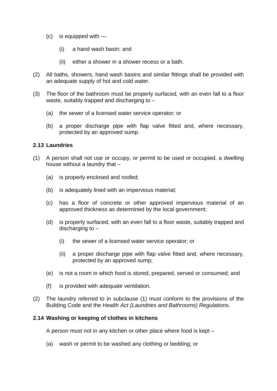- (c) is equipped with
	- (i) a hand wash basin; and
	- (ii) either a shower in a shower recess or a bath.
- (2) All baths, showers, hand wash basins and similar fittings shall be provided with an adequate supply of hot and cold water.
- (3) The floor of the bathroom must be properly surfaced, with an even fall to a floor waste, suitably trapped and discharging to –
	- (a) the sewer of a licensed water service operator; or
	- (b) a proper discharge pipe with flap valve fitted and, where necessary, protected by an approved sump.

#### <span id="page-16-0"></span>**2.13 Laundries**

- (1) A person shall not use or occupy, or permit to be used or occupied, a dwelling house without a laundry that –
	- (a) is properly enclosed and roofed;
	- (b) is adequately lined with an impervious material;
	- (c) has a floor of concrete or other approved impervious material of an approved thickness as determined by the local government;
	- (d) is properly surfaced, with an even fall to a floor waste, suitably trapped and discharging to –
		- (i) the sewer of a licensed water service operator; or
		- (ii) a proper discharge pipe with flap valve fitted and, where necessary, protected by an approved sump;
	- (e) is not a room in which food is stored, prepared, served or consumed; and
	- (f) is provided with adequate ventilation.
- (2) The laundry referred to in subclause (1) must conform to the provisions of the Building Code and the *Health Act (Laundries and Bathrooms) Regulations*.

## <span id="page-16-1"></span>**2.14 Washing or keeping of clothes in kitchens**

A person must not in any kitchen or other place where food is kept –

(a) wash or permit to be washed any clothing or bedding; or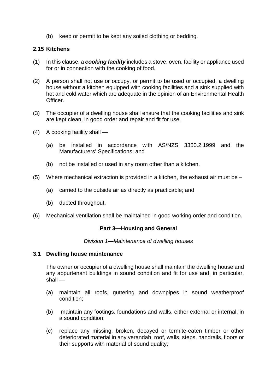(b) keep or permit to be kept any soiled clothing or bedding.

## <span id="page-17-0"></span>**2.15 Kitchens**

- (1) In this clause, a *cooking facility* includes a stove, oven, facility or appliance used for or in connection with the cooking of food.
- (2) A person shall not use or occupy, or permit to be used or occupied, a dwelling house without a kitchen equipped with cooking facilities and a sink supplied with hot and cold water which are adequate in the opinion of an Environmental Health Officer.
- (3) The occupier of a dwelling house shall ensure that the cooking facilities and sink are kept clean, in good order and repair and fit for use.
- (4) A cooking facility shall
	- (a) be installed in accordance with AS/NZS 3350.2:1999 and the Manufacturers' Specifications; and
	- (b) not be installed or used in any room other than a kitchen.
- (5) Where mechanical extraction is provided in a kitchen, the exhaust air must be  $-$ 
	- (a) carried to the outside air as directly as practicable; and
	- (b) ducted throughout.
- <span id="page-17-1"></span>(6) Mechanical ventilation shall be maintained in good working order and condition.

## **Part 3—Housing and General**

#### *Division 1—Maintenance of dwelling houses*

#### <span id="page-17-3"></span><span id="page-17-2"></span>**3.1 Dwelling house maintenance**

The owner or occupier of a dwelling house shall maintain the dwelling house and any appurtenant buildings in sound condition and fit for use and, in particular, shall —

- (a) maintain all roofs, guttering and downpipes in sound weatherproof condition;
- (b) maintain any footings, foundations and walls, either external or internal, in a sound condition;
- (c) replace any missing, broken, decayed or termite-eaten timber or other deteriorated material in any verandah, roof, walls, steps, handrails, floors or their supports with material of sound quality;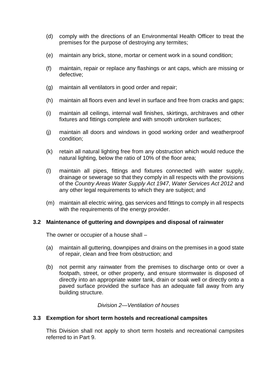- (d) comply with the directions of an Environmental Health Officer to treat the premises for the purpose of destroying any termites;
- (e) maintain any brick, stone, mortar or cement work in a sound condition;
- (f) maintain, repair or replace any flashings or ant caps, which are missing or defective;
- (g) maintain all ventilators in good order and repair;
- (h) maintain all floors even and level in surface and free from cracks and gaps;
- (i) maintain all ceilings, internal wall finishes, skirtings, architraves and other fixtures and fittings complete and with smooth unbroken surfaces;
- (j) maintain all doors and windows in good working order and weatherproof condition;
- (k) retain all natural lighting free from any obstruction which would reduce the natural lighting, below the ratio of 10% of the floor area;
- (l) maintain all pipes, fittings and fixtures connected with water supply, drainage or sewerage so that they comply in all respects with the provisions of the *Country Areas Water Supply Act 1947*, *Water Services Act 2012* and any other legal requirements to which they are subject; and
- (m) maintain all electric wiring, gas services and fittings to comply in all respects with the requirements of the energy provider.

## <span id="page-18-0"></span>**3.2 Maintenance of guttering and downpipes and disposal of rainwater**

The owner or occupier of a house shall –

- (a) maintain all guttering, downpipes and drains on the premises in a good state of repair, clean and free from obstruction; and
- (b) not permit any rainwater from the premises to discharge onto or over a footpath, street, or other property, and ensure stormwater is disposed of directly into an appropriate water tank, drain or soak well or directly onto a paved surface provided the surface has an adequate fall away from any building structure.

## *Division 2—Ventilation of houses*

## <span id="page-18-2"></span><span id="page-18-1"></span>**3.3 Exemption for short term hostels and recreational campsites**

This Division shall not apply to short term hostels and recreational campsites referred to in Part 9.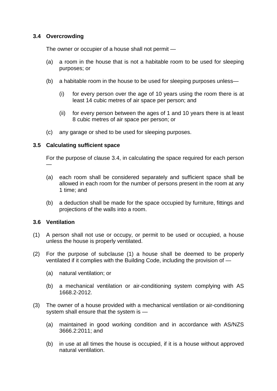# <span id="page-19-0"></span>**3.4 Overcrowding**

The owner or occupier of a house shall not permit —

- (a) a room in the house that is not a habitable room to be used for sleeping purposes; or
- (b) a habitable room in the house to be used for sleeping purposes unless—
	- (i) for every person over the age of 10 years using the room there is at least 14 cubic metres of air space per person; and
	- (ii) for every person between the ages of 1 and 10 years there is at least 8 cubic metres of air space per person; or
- (c) any garage or shed to be used for sleeping purposes.

## <span id="page-19-1"></span>**3.5 Calculating sufficient space**

For the purpose of clause 3.4, in calculating the space required for each person —

- (a) each room shall be considered separately and sufficient space shall be allowed in each room for the number of persons present in the room at any 1 time; and
- (b) a deduction shall be made for the space occupied by furniture, fittings and projections of the walls into a room.

# <span id="page-19-2"></span>**3.6 Ventilation**

- (1) A person shall not use or occupy, or permit to be used or occupied, a house unless the house is properly ventilated.
- (2) For the purpose of subclause (1) a house shall be deemed to be properly ventilated if it complies with the Building Code, including the provision of —
	- (a) natural ventilation; or
	- (b) a mechanical ventilation or air-conditioning system complying with AS 1668.2-2012.
- (3) The owner of a house provided with a mechanical ventilation or air-conditioning system shall ensure that the system is —
	- (a) maintained in good working condition and in accordance with AS/NZS 3666.2:2011; and
	- (b) in use at all times the house is occupied, if it is a house without approved natural ventilation.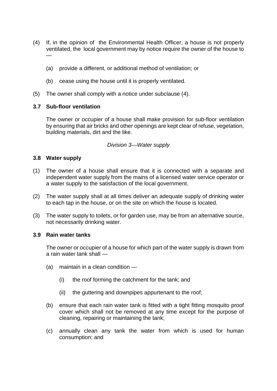- (4) If, in the opinion of the Environmental Health Officer, a house is not properly ventilated, the local government may by notice require the owner of the house to —
	- (a) provide a different, or additional method of ventilation; or
	- (b) cease using the house until it is properly ventilated.
- (5) The owner shall comply with a notice under subclause (4).

## <span id="page-20-0"></span>**3.7 Sub-floor ventilation**

The owner or occupier of a house shall make provision for sub-floor ventilation by ensuring that air bricks and other openings are kept clear of refuse, vegetation, building materials, dirt and the like.

## *Division 3—Water supply*

#### <span id="page-20-2"></span><span id="page-20-1"></span>**3.8 Water supply**

- (1) The owner of a house shall ensure that it is connected with a separate and independent water supply from the mains of a licensed water service operator or a water supply to the satisfaction of the local government.
- (2) The water supply shall at all times deliver an adequate supply of drinking water to each tap in the house, or on the site on which the house is located.
- (3) The water supply to toilets, or for garden use, may be from an alternative source, not necessarily drinking water.

#### <span id="page-20-3"></span>**3.9 Rain water tanks**

The owner or occupier of a house for which part of the water supply is drawn from a rain water tank shall —

- (a) maintain in a clean condition
	- (i) the roof forming the catchment for the tank; and
	- (ii) the guttering and downpipes appurtenant to the roof;
- (b) ensure that each rain water tank is fitted with a tight fitting mosquito proof cover which shall not be removed at any time except for the purpose of cleaning, repairing or maintaining the tank;
- (c) annually clean any tank the water from which is used for human consumption; and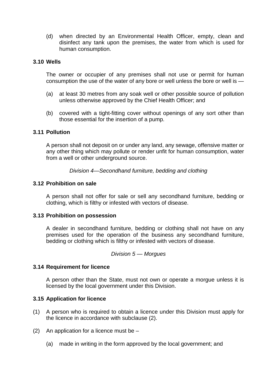(d) when directed by an Environmental Health Officer, empty, clean and disinfect any tank upon the premises, the water from which is used for human consumption.

#### <span id="page-21-0"></span>**3.10 Wells**

The owner or occupier of any premises shall not use or permit for human consumption the use of the water of any bore or well unless the bore or well is —

- (a) at least 30 metres from any soak well or other possible source of pollution unless otherwise approved by the Chief Health Officer; and
- (b) covered with a tight-fitting cover without openings of any sort other than those essential for the insertion of a pump.

#### <span id="page-21-1"></span>**3.11 Pollution**

A person shall not deposit on or under any land, any sewage, offensive matter or any other thing which may pollute or render unfit for human consumption, water from a well or other underground source.

*Division 4—Secondhand furniture, bedding and clothing*

#### <span id="page-21-3"></span><span id="page-21-2"></span>**3.12 Prohibition on sale**

A person shall not offer for sale or sell any secondhand furniture, bedding or clothing, which is filthy or infested with vectors of disease.

#### <span id="page-21-4"></span>**3.13 Prohibition on possession**

A dealer in secondhand furniture, bedding or clothing shall not have on any premises used for the operation of the business any secondhand furniture, bedding or clothing which is filthy or infested with vectors of disease.

#### *Division 5 — Morgues*

#### <span id="page-21-6"></span><span id="page-21-5"></span>**3.14 Requirement for licence**

A person other than the State, must not own or operate a morgue unless it is licensed by the local government under this Division.

#### <span id="page-21-7"></span>**3.15 Application for licence**

- (1) A person who is required to obtain a licence under this Division must apply for the licence in accordance with subclause (2).
- (2) An application for a licence must be  $-$ 
	- (a) made in writing in the form approved by the local government; and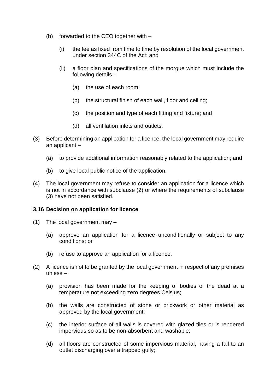- (b) forwarded to the CEO together with
	- (i) the fee as fixed from time to time by resolution of the local government under section 344C of the Act; and
	- (ii) a floor plan and specifications of the morgue which must include the following details –
		- (a) the use of each room;
		- (b) the structural finish of each wall, floor and ceiling;
		- (c) the position and type of each fitting and fixture; and
		- (d) all ventilation inlets and outlets.
- (3) Before determining an application for a licence, the local government may require an applicant –
	- (a) to provide additional information reasonably related to the application; and
	- (b) to give local public notice of the application.
- (4) The local government may refuse to consider an application for a licence which is not in accordance with subclause (2) or where the requirements of subclause (3) have not been satisfied.

#### <span id="page-22-0"></span>**3.16 Decision on application for licence**

- (1) The local government may
	- (a) approve an application for a licence unconditionally or subject to any conditions; or
	- (b) refuse to approve an application for a licence.
- (2) A licence is not to be granted by the local government in respect of any premises unless –
	- (a) provision has been made for the keeping of bodies of the dead at a temperature not exceeding zero degrees Celsius;
	- (b) the walls are constructed of stone or brickwork or other material as approved by the local government;
	- (c) the interior surface of all walls is covered with glazed tiles or is rendered impervious so as to be non-absorbent and washable;
	- (d) all floors are constructed of some impervious material, having a fall to an outlet discharging over a trapped gully;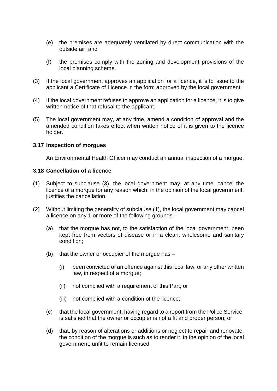- (e) the premises are adequately ventilated by direct communication with the outside air; and
- (f) the premises comply with the zoning and development provisions of the local planning scheme.
- (3) If the local government approves an application for a licence, it is to issue to the applicant a Certificate of Licence in the form approved by the local government.
- (4) If the local government refuses to approve an application for a licence, it is to give written notice of that refusal to the applicant.
- (5) The local government may, at any time, amend a condition of approval and the amended condition takes effect when written notice of it is given to the licence holder.

#### <span id="page-23-0"></span>**3.17 Inspection of morgues**

An Environmental Health Officer may conduct an annual inspection of a morgue.

#### <span id="page-23-1"></span>**3.18 Cancellation of a licence**

- (1) Subject to subclause (3), the local government may, at any time, cancel the licence of a morgue for any reason which, in the opinion of the local government, justifies the cancellation.
- (2) Without limiting the generality of subclause (1), the local government may cancel a licence on any 1 or more of the following grounds –
	- (a) that the morgue has not, to the satisfaction of the local government, been kept free from vectors of disease or in a clean, wholesome and sanitary condition;
	- (b) that the owner or occupier of the morque has  $-$ 
		- (i) been convicted of an offence against this local law, or any other written law, in respect of a morgue;
		- (ii) not complied with a requirement of this Part; or
		- (iii) not complied with a condition of the licence;
	- (c) that the local government, having regard to a report from the Police Service, is satisfied that the owner or occupier is not a fit and proper person; or
	- (d) that, by reason of alterations or additions or neglect to repair and renovate, the condition of the morgue is such as to render it, in the opinion of the local government, unfit to remain licensed.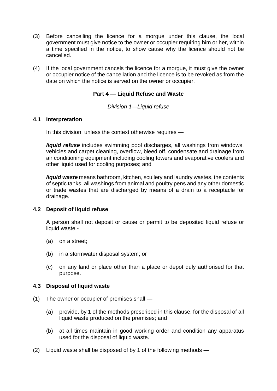- (3) Before cancelling the licence for a morgue under this clause, the local government must give notice to the owner or occupier requiring him or her, within a time specified in the notice, to show cause why the licence should not be cancelled.
- <span id="page-24-0"></span>(4) If the local government cancels the licence for a morgue, it must give the owner or occupier notice of the cancellation and the licence is to be revoked as from the date on which the notice is served on the owner or occupier.

# **Part 4 — Liquid Refuse and Waste**

#### *Division 1—Liquid refuse*

## <span id="page-24-2"></span><span id="page-24-1"></span>**4.1 Interpretation**

In this division, unless the context otherwise requires —

*liquid refuse* includes swimming pool discharges, all washings from windows, vehicles and carpet cleaning, overflow, bleed off, condensate and drainage from air conditioning equipment including cooling towers and evaporative coolers and other liquid used for cooling purposes; and

*liquid waste* means bathroom, kitchen, scullery and laundry wastes, the contents of septic tanks, all washings from animal and poultry pens and any other domestic or trade wastes that are discharged by means of a drain to a receptacle for drainage.

## <span id="page-24-3"></span>**4.2 Deposit of liquid refuse**

A person shall not deposit or cause or permit to be deposited liquid refuse or liquid waste -

- (a) on a street;
- (b) in a stormwater disposal system; or
- (c) on any land or place other than a place or depot duly authorised for that purpose.

#### <span id="page-24-4"></span>**4.3 Disposal of liquid waste**

- (1) The owner or occupier of premises shall
	- (a) provide, by 1 of the methods prescribed in this clause, for the disposal of all liquid waste produced on the premises; and
	- (b) at all times maintain in good working order and condition any apparatus used for the disposal of liquid waste.
- (2) Liquid waste shall be disposed of by 1 of the following methods —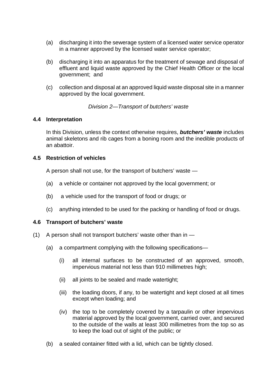- (a) discharging it into the sewerage system of a licensed water service operator in a manner approved by the licensed water service operator;
- (b) discharging it into an apparatus for the treatment of sewage and disposal of effluent and liquid waste approved by the Chief Health Officer or the local government; and
- (c) collection and disposal at an approved liquid waste disposal site in a manner approved by the local government.

*Division 2—Transport of butchers' waste*

## <span id="page-25-1"></span><span id="page-25-0"></span>**4.4 Interpretation**

In this Division, unless the context otherwise requires, *butchers' waste* includes animal skeletons and rib cages from a boning room and the inedible products of an abattoir.

## <span id="page-25-2"></span>**4.5 Restriction of vehicles**

A person shall not use, for the transport of butchers' waste —

- (a) a vehicle or container not approved by the local government; or
- (b) a vehicle used for the transport of food or drugs; or
- (c) anything intended to be used for the packing or handling of food or drugs.

## <span id="page-25-3"></span>**4.6 Transport of butchers' waste**

- (1) A person shall not transport butchers' waste other than in
	- (a) a compartment complying with the following specifications—
		- (i) all internal surfaces to be constructed of an approved, smooth, impervious material not less than 910 millimetres high;
		- (ii) all joints to be sealed and made watertight;
		- (iii) the loading doors, if any, to be watertight and kept closed at all times except when loading; and
		- (iv) the top to be completely covered by a tarpaulin or other impervious material approved by the local government, carried over, and secured to the outside of the walls at least 300 millimetres from the top so as to keep the load out of sight of the public; or
	- (b) a sealed container fitted with a lid, which can be tightly closed.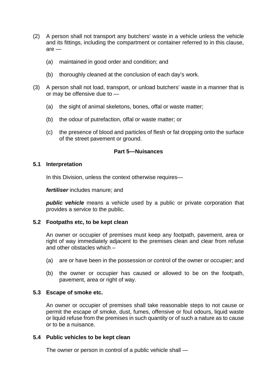- (2) A person shall not transport any butchers' waste in a vehicle unless the vehicle and its fittings, including the compartment or container referred to in this clause, are —
	- (a) maintained in good order and condition; and
	- (b) thoroughly cleaned at the conclusion of each day's work.
- (3) A person shall not load, transport, or unload butchers' waste in a manner that is or may be offensive due to —
	- (a) the sight of animal skeletons, bones, offal or waste matter;
	- (b) the odour of putrefaction, offal or waste matter; or
	- (c) the presence of blood and particles of flesh or fat dropping onto the surface of the street pavement or ground.

## **Part 5—Nuisances**

#### <span id="page-26-1"></span><span id="page-26-0"></span>**5.1 Interpretation**

In this Division, unless the context otherwise requires—

*fertiliser* includes manure; and

*public vehicle* means a vehicle used by a public or private corporation that provides a service to the public.

## <span id="page-26-2"></span>**5.2 Footpaths etc, to be kept clean**

An owner or occupier of premises must keep any footpath, pavement, area or right of way immediately adjacent to the premises clean and clear from refuse and other obstacles which –

- (a) are or have been in the possession or control of the owner or occupier; and
- (b) the owner or occupier has caused or allowed to be on the footpath, pavement, area or right of way.

## <span id="page-26-3"></span>**5.3 Escape of smoke etc.**

An owner or occupier of premises shall take reasonable steps to not cause or permit the escape of smoke, dust, fumes, offensive or foul odours, liquid waste or liquid refuse from the premises in such quantity or of such a nature as to cause or to be a nuisance.

#### <span id="page-26-4"></span>**5.4 Public vehicles to be kept clean**

The owner or person in control of a public vehicle shall —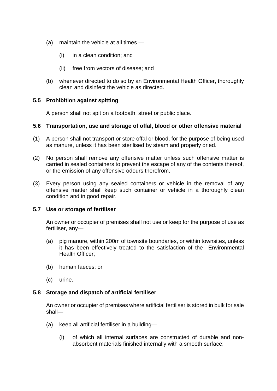- (a) maintain the vehicle at all times
	- (i) in a clean condition; and
	- (ii) free from vectors of disease; and
- (b) whenever directed to do so by an Environmental Health Officer, thoroughly clean and disinfect the vehicle as directed.

## <span id="page-27-0"></span>**5.5 Prohibition against spitting**

A person shall not spit on a footpath, street or public place.

#### <span id="page-27-1"></span>**5.6 Transportation, use and storage of offal, blood or other offensive material**

- (1) A person shall not transport or store offal or blood, for the purpose of being used as manure, unless it has been sterilised by steam and properly dried.
- (2) No person shall remove any offensive matter unless such offensive matter is carried in sealed containers to prevent the escape of any of the contents thereof, or the emission of any offensive odours therefrom.
- (3) Every person using any sealed containers or vehicle in the removal of any offensive matter shall keep such container or vehicle in a thoroughly clean condition and in good repair.

## <span id="page-27-2"></span>**5.7 Use or storage of fertiliser**

An owner or occupier of premises shall not use or keep for the purpose of use as fertiliser, any—

- (a) pig manure, within 200m of townsite boundaries, or within townsites, unless it has been effectively treated to the satisfaction of the Environmental Health Officer:
- (b) human faeces; or
- (c) urine.

## <span id="page-27-3"></span>**5.8 Storage and dispatch of artificial fertiliser**

An owner or occupier of premises where artificial fertiliser is stored in bulk for sale shall—

- (a) keep all artificial fertiliser in a building—
	- (i) of which all internal surfaces are constructed of durable and nonabsorbent materials finished internally with a smooth surface;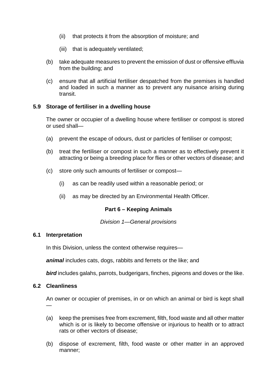- (ii) that protects it from the absorption of moisture; and
- (iii) that is adequately ventilated:
- (b) take adequate measures to prevent the emission of dust or offensive effluvia from the building; and
- (c) ensure that all artificial fertiliser despatched from the premises is handled and loaded in such a manner as to prevent any nuisance arising during transit.

# <span id="page-28-0"></span>**5.9 Storage of fertiliser in a dwelling house**

The owner or occupier of a dwelling house where fertiliser or compost is stored or used shall—

- (a) prevent the escape of odours, dust or particles of fertiliser or compost;
- (b) treat the fertiliser or compost in such a manner as to effectively prevent it attracting or being a breeding place for flies or other vectors of disease; and
- (c) store only such amounts of fertiliser or compost—
	- (i) as can be readily used within a reasonable period; or
	- (ii) as may be directed by an Environmental Health Officer.

## **Part 6 – Keeping Animals**

#### *Division 1—General provisions*

#### <span id="page-28-3"></span><span id="page-28-2"></span><span id="page-28-1"></span>**6.1 Interpretation**

In this Division, unless the context otherwise requires—

*animal* includes cats, dogs, rabbits and ferrets or the like; and

*bird* includes galahs, parrots, budgerigars, finches, pigeons and doves or the like.

#### <span id="page-28-4"></span>**6.2 Cleanliness**

—

An owner or occupier of premises, in or on which an animal or bird is kept shall

- (a) keep the premises free from excrement, filth, food waste and all other matter which is or is likely to become offensive or injurious to health or to attract rats or other vectors of disease;
- (b) dispose of excrement, filth, food waste or other matter in an approved manner;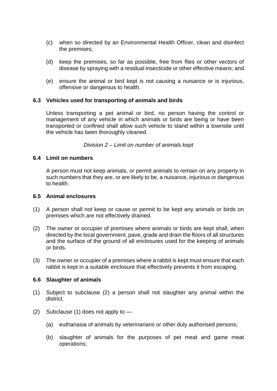- (c) when so directed by an Environmental Health Officer, clean and disinfect the premises;
- (d) keep the premises, so far as possible, free from flies or other vectors of disease by spraying with a residual insecticide or other effective means; and
- (e) ensure the animal or bird kept is not causing a nuisance or is injurious, offensive or dangerous to health.

## <span id="page-29-0"></span>**6.3 Vehicles used for transporting of animals and birds**

Unless transporting a pet animal or bird, no person having the control or management of any vehicle in which animals or birds are being or have been transported or confined shall allow such vehicle to stand within a townsite until the vehicle has been thoroughly cleaned.

*Division 2 – Limit on number of animals kept*

#### <span id="page-29-2"></span><span id="page-29-1"></span>**6.4 Limit on numbers**

A person must not keep animals, or permit animals to remain on any property in such numbers that they are, or are likely to be, a nuisance, injurious or dangerous to health.

#### <span id="page-29-3"></span>**6.5 Animal enclosures**

- (1) A person shall not keep or cause or permit to be kept any animals or birds on premises which are not effectively drained.
- (2) The owner or occupier of premises where animals or birds are kept shall, when directed by the local government, pave, grade and drain the floors of all structures and the surface of the ground of all enclosures used for the keeping of animals or birds.
- (3) The owner or occupier of a premises where a rabbit is kept must ensure that each rabbit is kept in a suitable enclosure that effectively prevents it from escaping.

#### <span id="page-29-4"></span>**6.6 Slaughter of animals**

- (1) Subject to subclause (2) a person shall not slaughter any animal within the district.
- (2) Subclause (1) does not apply to
	- (a) euthanasia of animals by veterinarians or other duly authorised persons;
	- (b) slaughter of animals for the purposes of pet meat and game meat operations;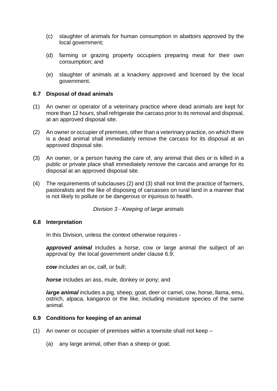- (c) slaughter of animals for human consumption in abattoirs approved by the local government;
- (d) farming or grazing property occupiers preparing meat for their own consumption; and
- (e) slaughter of animals at a knackery approved and licensed by the local government.

## <span id="page-30-0"></span>**6.7 Disposal of dead animals**

- (1) An owner or operator of a veterinary practice where dead animals are kept for more than 12 hours, shall refrigerate the carcass prior to its removal and disposal, at an approved disposal site.
- (2) An owner or occupier of premises, other than a veterinary practice, on which there is a dead animal shall immediately remove the carcass for its disposal at an approved disposal site.
- (3) An owner, or a person having the care of, any animal that dies or is killed in a public or private place shall immediately remove the carcass and arrange for its disposal at an approved disposal site.
- (4) The requirements of subclauses (2) and (3) shall not limit the practice of farmers, pastoralists and the like of disposing of carcasses on rural land in a manner that is not likely to pollute or be dangerous or injurious to health.

*Division 3 - Keeping of large animals*

#### <span id="page-30-2"></span><span id="page-30-1"></span>**6.8 Interpretation**

In this Division, unless the context otherwise requires -

*approved animal* includes a horse, cow or large animal the subject of an approval by the local government under clause 6.9;

*cow* includes an ox, calf, or bull;

*horse* includes an ass, mule, donkey or pony; and

*large animal* includes a pig, sheep, goat, deer or camel, cow, horse, llama, emu, ostrich, alpaca, kangaroo or the like, including miniature species of the same animal.

## <span id="page-30-3"></span>**6.9 Conditions for keeping of an animal**

- (1) An owner or occupier of premises within a townsite shall not keep
	- (a) any large animal, other than a sheep or goat;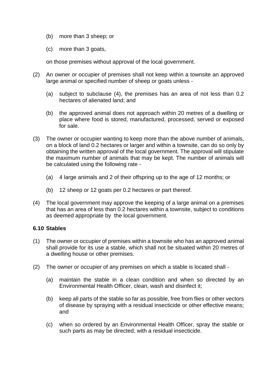- (b) more than 3 sheep; or
- (c) more than 3 goats,

on those premises without approval of the local government.

- (2) An owner or occupier of premises shall not keep within a townsite an approved large animal or specified number of sheep or goats unless -
	- (a) subject to subclause (4), the premises has an area of not less than 0.2 hectares of alienated land; and
	- (b) the approved animal does not approach within 20 metres of a dwelling or place where food is stored, manufactured, processed, served or exposed for sale.
- (3) The owner or occupier wanting to keep more than the above number of animals, on a block of land 0.2 hectares or larger and within a townsite, can do so only by obtaining the written approval of the local government. The approval will stipulate the maximum number of animals that may be kept. The number of animals will be calculated using the following rate -
	- (a) 4 large animals and 2 of their offspring up to the age of 12 months; or
	- (b) 12 sheep or 12 goats per 0.2 hectares or part thereof.
- (4) The local government may approve the keeping of a large animal on a premises that has an area of less than 0.2 hectares within a townsite, subject to conditions as deemed appropriate by the local government.

## <span id="page-31-0"></span>**6.10 Stables**

- (1) The owner or occupier of premises within a townsite who has an approved animal shall provide for its use a stable, which shall not be situated within 20 metres of a dwelling house or other premises.
- <span id="page-31-1"></span>(2) The owner or occupier of any premises on which a stable is located shall -
	- (a) maintain the stable in a clean condition and when so directed by an Environmental Health Officer, clean, wash and disinfect it;
	- (b) keep all parts of the stable so far as possible, free from flies or other vectors of disease by spraying with a residual insecticide or other effective means; and
	- (c) when so ordered by an Environmental Health Officer, spray the stable or such parts as may be directed, with a residual insecticide.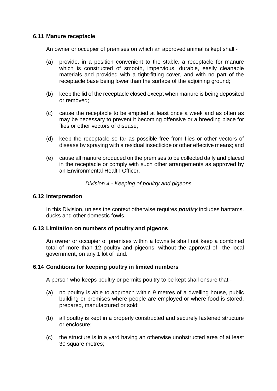#### **6.11 Manure receptacle**

An owner or occupier of premises on which an approved animal is kept shall -

- (a) provide, in a position convenient to the stable, a receptacle for manure which is constructed of smooth, impervious, durable, easily cleanable materials and provided with a tight-fitting cover, and with no part of the receptacle base being lower than the surface of the adjoining ground;
- (b) keep the lid of the receptacle closed except when manure is being deposited or removed;
- (c) cause the receptacle to be emptied at least once a week and as often as may be necessary to prevent it becoming offensive or a breeding place for flies or other vectors of disease;
- (d) keep the receptacle so far as possible free from flies or other vectors of disease by spraying with a residual insecticide or other effective means; and
- (e) cause all manure produced on the premises to be collected daily and placed in the receptacle or comply with such other arrangements as approved by an Environmental Health Officer.

## *Division 4 - Keeping of poultry and pigeons*

#### <span id="page-32-1"></span><span id="page-32-0"></span>**6.12 Interpretation**

In this Division, unless the context otherwise requires *poultry* includes bantams, ducks and other domestic fowls.

#### <span id="page-32-2"></span>**6.13 Limitation on numbers of poultry and pigeons**

An owner or occupier of premises within a townsite shall not keep a combined total of more than 12 poultry and pigeons, without the approval of the local government, on any 1 lot of land.

## <span id="page-32-3"></span>**6.14 Conditions for keeping poultry in limited numbers**

A person who keeps poultry or permits poultry to be kept shall ensure that -

- (a) no poultry is able to approach within 9 metres of a dwelling house, public building or premises where people are employed or where food is stored, prepared, manufactured or sold;
- (b) all poultry is kept in a properly constructed and securely fastened structure or enclosure;
- (c) the structure is in a yard having an otherwise unobstructed area of at least 30 square metres;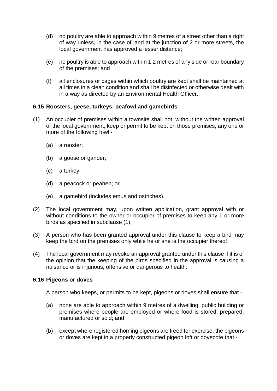- (d) no poultry are able to approach within 9 metres of a street other than a right of way unless, in the case of land at the junction of 2 or more streets, the local government has approved a lesser distance;
- (e) no poultry is able to approach within 1.2 metres of any side or rear boundary of the premises; and
- (f) all enclosures or cages within which poultry are kept shall be maintained at all times in a clean condition and shall be disinfected or otherwise dealt with in a way as directed by an Environmental Health Officer.

# <span id="page-33-0"></span>**6.15 Roosters, geese, turkeys, peafowl and gamebirds**

- (1) An occupier of premises within a townsite shall not, without the written approval of the local government, keep or permit to be kept on those premises, any one or more of the following fowl -
	- (a) a rooster;
	- (b) a goose or gander;
	- (c) a turkey;
	- (d) a peacock or peahen; or
	- (e) a gamebird (includes emus and ostriches).
- (2) The local government may, upon written application, grant approval with or without conditions to the owner or occupier of premises to keep any 1 or more birds as specified in subclause (1).
- (3) A person who has been granted approval under this clause to keep a bird may keep the bird on the premises only while he or she is the occupier thereof.
- (4) The local government may revoke an approval granted under this clause if it is of the opinion that the keeping of the birds specified in the approval is causing a nuisance or is injurious, offensive or dangerous to health.

## <span id="page-33-1"></span>**6.16 Pigeons or doves**

A person who keeps, or permits to be kept, pigeons or doves shall ensure that -

- (a) none are able to approach within 9 metres of a dwelling, public building or premises where people are employed or where food is stored, prepared, manufactured or sold; and
- (b) except where registered homing pigeons are freed for exercise, the pigeons or doves are kept in a properly constructed pigeon loft or dovecote that -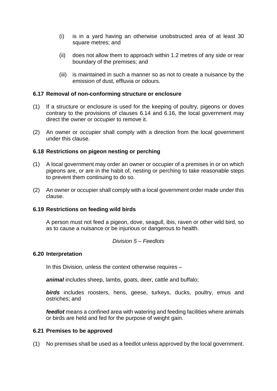- (i) is in a yard having an otherwise unobstructed area of at least 30 square metres; and
- (ii) does not allow them to approach within 1.2 metres of any side or rear boundary of the premises; and
- (iii) is maintained in such a manner so as not to create a nuisance by the emission of dust, effluvia or odours.

## <span id="page-34-0"></span>**6.17 Removal of non-conforming structure or enclosure**

- (1) If a structure or enclosure is used for the keeping of poultry, pigeons or doves contrary to the provisions of clauses 6.14 and 6.16, the local government may direct the owner or occupier to remove it.
- (2) An owner or occupier shall comply with a direction from the local government under this clause.

# <span id="page-34-1"></span>**6.18 Restrictions on pigeon nesting or perching**

- (1) A local government may order an owner or occupier of a premises in or on which pigeons are, or are in the habit of, nesting or perching to take reasonable steps to prevent them continuing to do so.
- (2) An owner or occupier shall comply with a local government order made under this clause.

## <span id="page-34-2"></span>**6.19 Restrictions on feeding wild birds**

A person must not feed a pigeon, dove, seagull, ibis, raven or other wild bird, so as to cause a nuisance or be injurious or dangerous to health.

#### *Division 5 – Feedlots*

#### <span id="page-34-4"></span><span id="page-34-3"></span>**6.20 Interpretation**

In this Division, unless the context otherwise requires –

*animal* includes sheep, lambs, goats, deer, cattle and buffalo;

*birds* includes roosters, hens, geese, turkeys, ducks, poultry, emus and ostriches; and

*feedlot* means a confined area with watering and feeding facilities where animals or birds are held and fed for the purpose of weight gain.

## <span id="page-34-5"></span>**6.21 Premises to be approved**

(1) No premises shall be used as a feedlot unless approved by the local government.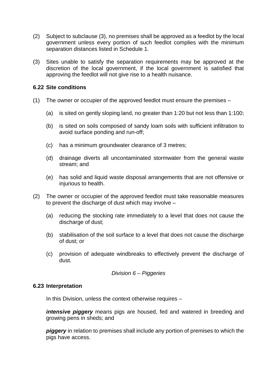- (2) Subject to subclause (3), no premises shall be approved as a feedlot by the local government unless every portion of such feedlot complies with the minimum separation distances listed in Schedule 1.
- (3) Sites unable to satisfy the separation requirements may be approved at the discretion of the local government, if the local government is satisfied that approving the feedlot will not give rise to a health nuisance.

## <span id="page-35-0"></span>**6.22 Site conditions**

- (1) The owner or occupier of the approved feedlot must ensure the premises
	- (a) is sited on gently sloping land, no greater than 1:20 but not less than 1:100;
	- (b) is sited on soils composed of sandy loam soils with sufficient infiltration to avoid surface ponding and run-off;
	- (c) has a minimum groundwater clearance of 3 metres;
	- (d) drainage diverts all uncontaminated stormwater from the general waste stream; and
	- (e) has solid and liquid waste disposal arrangements that are not offensive or injurious to health.
- (2) The owner or occupier of the approved feedlot must take reasonable measures to prevent the discharge of dust which may involve –
	- (a) reducing the stocking rate immediately to a level that does not cause the discharge of dust;
	- (b) stabilisation of the soil surface to a level that does not cause the discharge of dust; or
	- (c) provision of adequate windbreaks to effectively prevent the discharge of dust.

*Division 6 – Piggeries*

#### <span id="page-35-2"></span><span id="page-35-1"></span>**6.23 Interpretation**

In this Division, unless the context otherwise requires –

*intensive piggery* means pigs are housed, fed and watered in breeding and growing pens in sheds; and

<span id="page-35-3"></span>*piggery* in relation to premises shall include any portion of premises to which the pigs have access.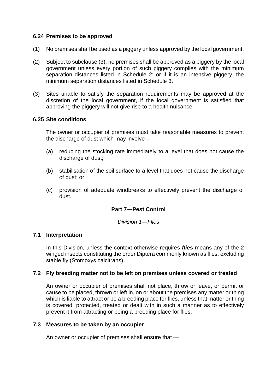## **6.24 Premises to be approved**

- (1) No premises shall be used as a piggery unless approved by the local government.
- (2) Subject to subclause (3), no premises shall be approved as a piggery by the local government unless every portion of such piggery complies with the minimum separation distances listed in Schedule 2; or if it is an intensive piggery, the minimum separation distances listed in Schedule 3.
- (3) Sites unable to satisfy the separation requirements may be approved at the discretion of the local government, if the local government is satisfied that approving the piggery will not give rise to a health nuisance.

# **6.25 Site conditions**

The owner or occupier of premises must take reasonable measures to prevent the discharge of dust which may involve –

- (a) reducing the stocking rate immediately to a level that does not cause the discharge of dust;
- (b) stabilisation of the soil surface to a level that does not cause the discharge of dust; or
- (c) provision of adequate windbreaks to effectively prevent the discharge of dust.

# **Part 7—Pest Control**

*Division 1—Flies*

## **7.1 Interpretation**

In this Division, unless the context otherwise requires *flies* means any of the 2 winged insects constituting the order Diptera commonly known as flies, excluding stable fly (Stomoxys calcitrans).

## **7.2 Fly breeding matter not to be left on premises unless covered or treated**

An owner or occupier of premises shall not place, throw or leave, or permit or cause to be placed, thrown or left in, on or about the premises any matter or thing which is liable to attract or be a breeding place for flies, unless that matter or thing is covered, protected, treated or dealt with in such a manner as to effectively prevent it from attracting or being a breeding place for flies.

## **7.3 Measures to be taken by an occupier**

An owner or occupier of premises shall ensure that —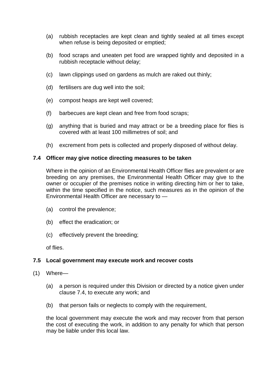- (a) rubbish receptacles are kept clean and tightly sealed at all times except when refuse is being deposited or emptied;
- (b) food scraps and uneaten pet food are wrapped tightly and deposited in a rubbish receptacle without delay;
- (c) lawn clippings used on gardens as mulch are raked out thinly;
- (d) fertilisers are dug well into the soil;
- (e) compost heaps are kept well covered;
- (f) barbecues are kept clean and free from food scraps;
- (g) anything that is buried and may attract or be a breeding place for flies is covered with at least 100 millimetres of soil; and
- (h) excrement from pets is collected and properly disposed of without delay.

#### **7.4 Officer may give notice directing measures to be taken**

Where in the opinion of an Environmental Health Officer flies are prevalent or are breeding on any premises, the Environmental Health Officer may give to the owner or occupier of the premises notice in writing directing him or her to take, within the time specified in the notice, such measures as in the opinion of the Environmental Health Officer are necessary to —

- (a) control the prevalence;
- (b) effect the eradication; or
- (c) effectively prevent the breeding;

of flies.

## **7.5 Local government may execute work and recover costs**

- (1) Where—
	- (a) a person is required under this Division or directed by a notice given under clause 7.4, to execute any work; and
	- (b) that person fails or neglects to comply with the requirement,

the local government may execute the work and may recover from that person the cost of executing the work, in addition to any penalty for which that person may be liable under this local law.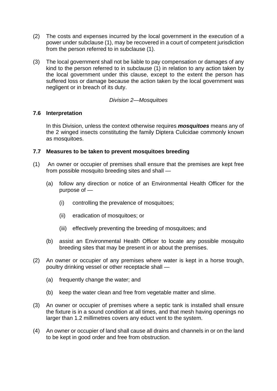- (2) The costs and expenses incurred by the local government in the execution of a power under subclause (1), may be recovered in a court of competent jurisdiction from the person referred to in subclause (1).
- (3) The local government shall not be liable to pay compensation or damages of any kind to the person referred to in subclause (1) in relation to any action taken by the local government under this clause, except to the extent the person has suffered loss or damage because the action taken by the local government was negligent or in breach of its duty.

## *Division 2—Mosquitoes*

## **7.6 Interpretation**

In this Division, unless the context otherwise requires *mosquitoes* means any of the 2 winged insects constituting the family Diptera Culicidae commonly known as mosquitoes.

# **7.7 Measures to be taken to prevent mosquitoes breeding**

- (1) An owner or occupier of premises shall ensure that the premises are kept free from possible mosquito breeding sites and shall —
	- (a) follow any direction or notice of an Environmental Health Officer for the purpose of —
		- (i) controlling the prevalence of mosquitoes;
		- (ii) eradication of mosquitoes; or
		- (iii) effectively preventing the breeding of mosquitoes; and
	- (b) assist an Environmental Health Officer to locate any possible mosquito breeding sites that may be present in or about the premises.
- (2) An owner or occupier of any premises where water is kept in a horse trough, poultry drinking vessel or other receptacle shall —
	- (a) frequently change the water; and
	- (b) keep the water clean and free from vegetable matter and slime.
- (3) An owner or occupier of premises where a septic tank is installed shall ensure the fixture is in a sound condition at all times, and that mesh having openings no larger than 1.2 millimetres covers any educt vent to the system.
- (4) An owner or occupier of land shall cause all drains and channels in or on the land to be kept in good order and free from obstruction.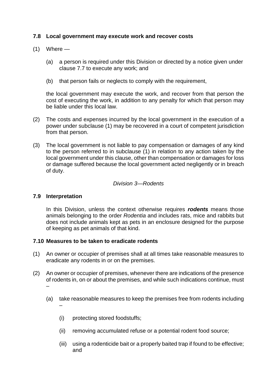# **7.8 Local government may execute work and recover costs**

- (1) Where
	- (a) a person is required under this Division or directed by a notice given under clause 7.7 to execute any work; and
	- (b) that person fails or neglects to comply with the requirement,

the local government may execute the work, and recover from that person the cost of executing the work, in addition to any penalty for which that person may be liable under this local law.

- (2) The costs and expenses incurred by the local government in the execution of a power under subclause (1) may be recovered in a court of competent jurisdiction from that person.
- (3) The local government is not liable to pay compensation or damages of any kind to the person referred to in subclause (1) in relation to any action taken by the local government under this clause, other than compensation or damages for loss or damage suffered because the local government acted negligently or in breach of duty.

#### *Division 3—Rodents*

## **7.9 Interpretation**

In this Division, unless the context otherwise requires *rodents* means those animals belonging to the order *Rodentia* and includes rats, mice and rabbits but does not include animals kept as pets in an enclosure designed for the purpose of keeping as pet animals of that kind.

## **7.10 Measures to be taken to eradicate rodents**

- (1) An owner or occupier of premises shall at all times take reasonable measures to eradicate any rodents in or on the premises.
- (2) An owner or occupier of premises, whenever there are indications of the presence of rodents in, on or about the premises, and while such indications continue, must –
	- (a) take reasonable measures to keep the premises free from rodents including –
		- (i) protecting stored foodstuffs;
		- (ii) removing accumulated refuse or a potential rodent food source;
		- (iii) using a rodenticide bait or a properly baited trap if found to be effective; and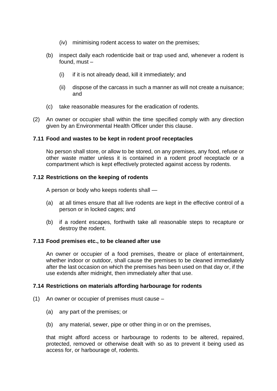- (iv) minimising rodent access to water on the premises;
- (b) inspect daily each rodenticide bait or trap used and, whenever a rodent is found, must –
	- (i) if it is not already dead, kill it immediately; and
	- (ii) dispose of the carcass in such a manner as will not create a nuisance; and
- (c) take reasonable measures for the eradication of rodents.
- (2) An owner or occupier shall within the time specified comply with any direction given by an Environmental Health Officer under this clause.

## **7.11 Food and wastes to be kept in rodent proof receptacles**

No person shall store, or allow to be stored, on any premises, any food, refuse or other waste matter unless it is contained in a rodent proof receptacle or a compartment which is kept effectively protected against access by rodents.

#### **7.12 Restrictions on the keeping of rodents**

A person or body who keeps rodents shall —

- (a) at all times ensure that all live rodents are kept in the effective control of a person or in locked cages; and
- (b) if a rodent escapes, forthwith take all reasonable steps to recapture or destroy the rodent.

#### **7.13 Food premises etc., to be cleaned after use**

An owner or occupier of a food premises, theatre or place of entertainment, whether indoor or outdoor, shall cause the premises to be cleaned immediately after the last occasion on which the premises has been used on that day or, if the use extends after midnight, then immediately after that use.

## **7.14 Restrictions on materials affording harbourage for rodents**

- (1) An owner or occupier of premises must cause
	- (a) any part of the premises; or
	- (b) any material, sewer, pipe or other thing in or on the premises,

that might afford access or harbourage to rodents to be altered, repaired, protected, removed or otherwise dealt with so as to prevent it being used as access for, or harbourage of, rodents.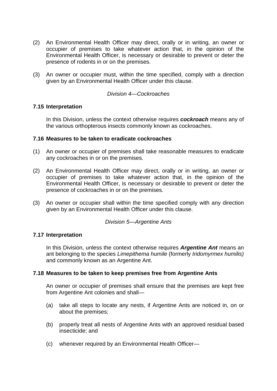- (2) An Environmental Health Officer may direct, orally or in writing, an owner or occupier of premises to take whatever action that, in the opinion of the Environmental Health Officer, is necessary or desirable to prevent or deter the presence of rodents in or on the premises.
- (3) An owner or occupier must, within the time specified, comply with a direction given by an Environmental Health Officer under this clause.

#### *Division 4—Cockroaches*

#### **7.15 Interpretation**

In this Division, unless the context otherwise requires *cockroach* means any of the various orthopterous insects commonly known as cockroaches.

#### **7.16 Measures to be taken to eradicate cockroaches**

- (1) An owner or occupier of premises shall take reasonable measures to eradicate any cockroaches in or on the premises.
- (2) An Environmental Health Officer may direct, orally or in writing, an owner or occupier of premises to take whatever action that, in the opinion of the Environmental Health Officer, is necessary or desirable to prevent or deter the presence of cockroaches in or on the premises.
- (3) An owner or occupier shall within the time specified comply with any direction given by an Environmental Health Officer under this clause.

## *Division 5—Argentine Ants*

#### **7.17 Interpretation**

In this Division, unless the context otherwise requires *Argentine Ant* means an ant belonging to the species *Limepithema humile* (formerly *Iridomyrmex humilis)* and commonly known as an Argentine Ant.

#### **7.18 Measures to be taken to keep premises free from Argentine Ants**

An owner or occupier of premises shall ensure that the premises are kept free from Argentine Ant colonies and shall—

- (a) take all steps to locate any nests, if Argentine Ants are noticed in, on or about the premises;
- (b) properly treat all nests of Argentine Ants with an approved residual based insecticide; and
- (c) whenever required by an Environmental Health Officer—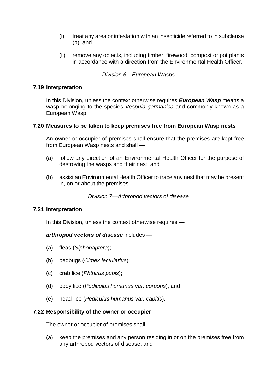- (i) treat any area or infestation with an insecticide referred to in subclause (b); and
- (ii) remove any objects, including timber, firewood, compost or pot plants in accordance with a direction from the Environmental Health Officer.

*Division 6—European Wasps*

#### **7.19 Interpretation**

In this Division, unless the context otherwise requires *European Wasp* means a wasp belonging to the species *Vespula germanica* and commonly known as a European Wasp.

#### **7.20 Measures to be taken to keep premises free from European Wasp nests**

An owner or occupier of premises shall ensure that the premises are kept free from European Wasp nests and shall —

- (a) follow any direction of an Environmental Health Officer for the purpose of destroying the wasps and their nest; and
- (b) assist an Environmental Health Officer to trace any nest that may be present in, on or about the premises.

*Division 7—Arthropod vectors of disease*

## **7.21 Interpretation**

In this Division, unless the context otherwise requires —

*arthropod vectors of disease* includes —

- (a) fleas (*Siphonaptera*);
- (b) bedbugs (*Cimex lectularius*);
- (c) crab lice (*Phthirus pubis*);
- (d) body lice (*Pediculus humanus var. corporis*); and
- (e) head lice (*Pediculus humanus var. capitis*).

#### **7.22 Responsibility of the owner or occupier**

The owner or occupier of premises shall —

(a) keep the premises and any person residing in or on the premises free from any arthropod vectors of disease; and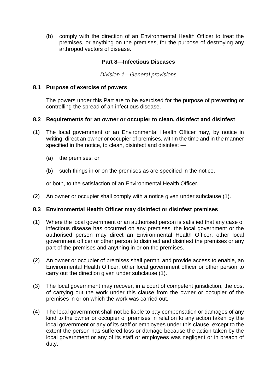(b) comply with the direction of an Environmental Health Officer to treat the premises, or anything on the premises, for the purpose of destroying any arthropod vectors of disease.

# **Part 8—Infectious Diseases**

*Division 1—General provisions*

#### **8.1 Purpose of exercise of powers**

The powers under this Part are to be exercised for the purpose of preventing or controlling the spread of an infectious disease.

#### **8.2 Requirements for an owner or occupier to clean, disinfect and disinfest**

- (1) The local government or an Environmental Health Officer may, by notice in writing, direct an owner or occupier of premises, within the time and in the manner specified in the notice, to clean, disinfect and disinfest —
	- (a) the premises; or
	- (b) such things in or on the premises as are specified in the notice,

or both, to the satisfaction of an Environmental Health Officer.

(2) An owner or occupier shall comply with a notice given under subclause (1).

## **8.3 Environmental Health Officer may disinfect or disinfest premises**

- (1) Where the local government or an authorised person is satisfied that any case of infectious disease has occurred on any premises, the local government or the authorised person may direct an Environmental Health Officer, other local government officer or other person to disinfect and disinfest the premises or any part of the premises and anything in or on the premises.
- (2) An owner or occupier of premises shall permit, and provide access to enable, an Environmental Health Officer, other local government officer or other person to carry out the direction given under subclause (1).
- (3) The local government may recover, in a court of competent jurisdiction, the cost of carrying out the work under this clause from the owner or occupier of the premises in or on which the work was carried out.
- (4) The local government shall not be liable to pay compensation or damages of any kind to the owner or occupier of premises in relation to any action taken by the local government or any of its staff or employees under this clause, except to the extent the person has suffered loss or damage because the action taken by the local government or any of its staff or employees was negligent or in breach of duty.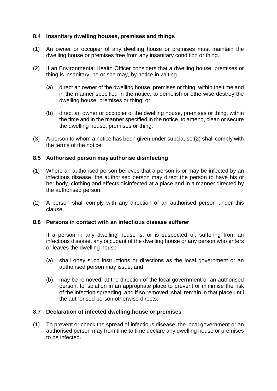# **8.4 Insanitary dwelling houses, premises and things**

- (1) An owner or occupier of any dwelling house or premises must maintain the dwelling house or premises free from any insanitary condition or thing.
- (2) If an Environmental Health Officer considers that a dwelling house, premises or thing is insanitary, he or she may, by notice in writing –
	- (a) direct an owner of the dwelling house, premises or thing, within the time and in the manner specified in the notice, to demolish or otherwise destroy the dwelling house, premises or thing; or
	- (b) direct an owner or occupier of the dwelling house, premises or thing, within the time and in the manner specified in the notice, to amend, clean or secure the dwelling house, premises or thing.
- (3) A person to whom a notice has been given under subclause (2) shall comply with the terms of the notice.

## **8.5 Authorised person may authorise disinfecting**

- (1) Where an authorised person believes that a person is or may be infected by an infectious disease, the authorised person may direct the person to have his or her body, clothing and effects disinfected at a place and in a manner directed by the authorised person.
- (2) A person shall comply with any direction of an authorised person under this clause.

# **8.6 Persons in contact with an infectious disease sufferer**

If a person in any dwelling house is, or is suspected of, suffering from an infectious disease, any occupant of the dwelling house or any person who enters or leaves the dwelling house—

- (a) shall obey such instructions or directions as the local government or an authorised person may issue; and
- (b) may be removed, at the direction of the local government or an authorised person, to isolation in an appropriate place to prevent or minimise the risk of the infection spreading, and if so removed, shall remain in that place until the authorised person otherwise directs.

## **8.7 Declaration of infected dwelling house or premises**

(1) To prevent or check the spread of infectious disease, the local government or an authorised person may from time to time declare any dwelling house or premises to be infected.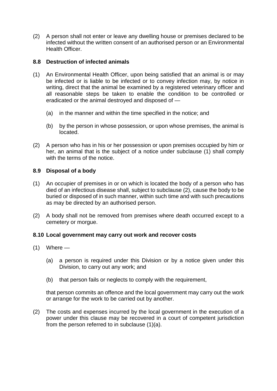(2) A person shall not enter or leave any dwelling house or premises declared to be infected without the written consent of an authorised person or an Environmental Health Officer.

# **8.8 Destruction of infected animals**

- (1) An Environmental Health Officer, upon being satisfied that an animal is or may be infected or is liable to be infected or to convey infection may, by notice in writing, direct that the animal be examined by a registered veterinary officer and all reasonable steps be taken to enable the condition to be controlled or eradicated or the animal destroyed and disposed of —
	- (a) in the manner and within the time specified in the notice; and
	- (b) by the person in whose possession, or upon whose premises, the animal is located.
- (2) A person who has in his or her possession or upon premises occupied by him or her, an animal that is the subject of a notice under subclause (1) shall comply with the terms of the notice.

# **8.9 Disposal of a body**

- (1) An occupier of premises in or on which is located the body of a person who has died of an infectious disease shall, subject to subclause (2), cause the body to be buried or disposed of in such manner, within such time and with such precautions as may be directed by an authorised person.
- (2) A body shall not be removed from premises where death occurred except to a cemetery or morgue.

## **8.10 Local government may carry out work and recover costs**

- $(1)$  Where
	- (a) a person is required under this Division or by a notice given under this Division, to carry out any work; and
	- (b) that person fails or neglects to comply with the requirement,

that person commits an offence and the local government may carry out the work or arrange for the work to be carried out by another.

(2) The costs and expenses incurred by the local government in the execution of a power under this clause may be recovered in a court of competent jurisdiction from the person referred to in subclause (1)(a).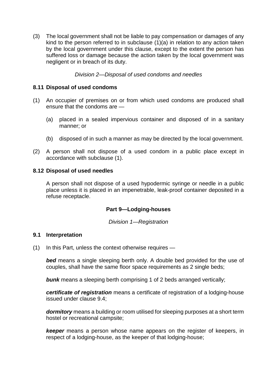(3) The local government shall not be liable to pay compensation or damages of any kind to the person referred to in subclause (1)(a) in relation to any action taken by the local government under this clause, except to the extent the person has suffered loss or damage because the action taken by the local government was negligent or in breach of its duty.

*Division 2—Disposal of used condoms and needles*

## **8.11 Disposal of used condoms**

- (1) An occupier of premises on or from which used condoms are produced shall ensure that the condoms are —
	- (a) placed in a sealed impervious container and disposed of in a sanitary manner; or
	- (b) disposed of in such a manner as may be directed by the local government.
- (2) A person shall not dispose of a used condom in a public place except in accordance with subclause (1).

#### **8.12 Disposal of used needles**

A person shall not dispose of a used hypodermic syringe or needle in a public place unless it is placed in an impenetrable, leak-proof container deposited in a refuse receptacle.

## **Part 9—Lodging-houses**

*Division 1—Registration*

#### **9.1 Interpretation**

(1) In this Part, unless the context otherwise requires —

*bed* means a single sleeping berth only. A double bed provided for the use of couples, shall have the same floor space requirements as 2 single beds;

**bunk** means a sleeping berth comprising 1 of 2 beds arranged vertically;

*certificate of registration* means a certificate of registration of a lodging-house issued under clause 9.4;

*dormitory* means a building or room utilised for sleeping purposes at a short term hostel or recreational campsite;

*keeper* means a person whose name appears on the register of keepers, in respect of a lodging-house, as the keeper of that lodging-house;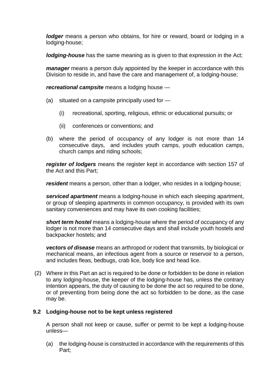*lodger* means a person who obtains, for hire or reward, board or lodging in a lodging-house;

*lodging-house* has the same meaning as is given to that expression in the Act;

*manager* means a person duly appointed by the keeper in accordance with this Division to reside in, and have the care and management of, a lodging-house;

*recreational campsite* means a lodging house —

- (a) situated on a campsite principally used for
	- (i) recreational, sporting, religious, ethnic or educational pursuits; or
	- (ii) conferences or conventions; and
- (b) where the period of occupancy of any lodger is not more than 14 consecutive days, and includes youth camps, youth education camps, church camps and riding schools;

*register of lodgers* means the register kept in accordance with section 157 of the Act and this Part;

*resident* means a person, other than a lodger, who resides in a lodging-house;

*serviced apartment* means a lodging-house in which each sleeping apartment, or group of sleeping apartments in common occupancy, is provided with its own sanitary conveniences and may have its own cooking facilities;

*short term hostel* means a lodging-house where the period of occupancy of any lodger is not more than 14 consecutive days and shall include youth hostels and backpacker hostels; and

*vectors of disease* means an arthropod or rodent that transmits, by biological or mechanical means, an infectious agent from a source or reservoir to a person, and includes fleas, bedbugs, crab lice, body lice and head lice.

(2) Where in this Part an act is required to be done or forbidden to be done in relation to any lodging-house, the keeper of the lodging-house has, unless the contrary intention appears, the duty of causing to be done the act so required to be done, or of preventing from being done the act so forbidden to be done, as the case may be.

## **9.2 Lodging-house not to be kept unless registered**

A person shall not keep or cause, suffer or permit to be kept a lodging-house unless—

(a) the lodging-house is constructed in accordance with the requirements of this Part;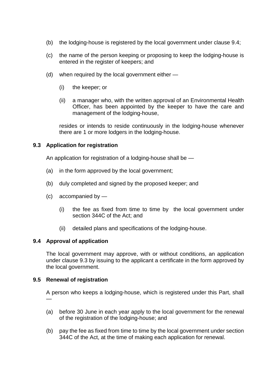- (b) the lodging-house is registered by the local government under clause 9.4;
- (c) the name of the person keeping or proposing to keep the lodging-house is entered in the register of keepers; and
- (d) when required by the local government either
	- (i) the keeper; or
	- (ii) a manager who, with the written approval of an Environmental Health Officer, has been appointed by the keeper to have the care and management of the lodging-house,

resides or intends to reside continuously in the lodging-house whenever there are 1 or more lodgers in the lodging-house.

# **9.3 Application for registration**

An application for registration of a lodging-house shall be —

- (a) in the form approved by the local government;
- (b) duly completed and signed by the proposed keeper; and
- (c) accompanied by
	- (i) the fee as fixed from time to time by the local government under section 344C of the Act; and
	- (ii) detailed plans and specifications of the lodging-house.

## **9.4 Approval of application**

The local government may approve, with or without conditions, an application under clause 9.3 by issuing to the applicant a certificate in the form approved by the local government.

## **9.5 Renewal of registration**

A person who keeps a lodging-house, which is registered under this Part, shall —

- (a) before 30 June in each year apply to the local government for the renewal of the registration of the lodging-house; and
- (b) pay the fee as fixed from time to time by the local government under section 344C of the Act, at the time of making each application for renewal.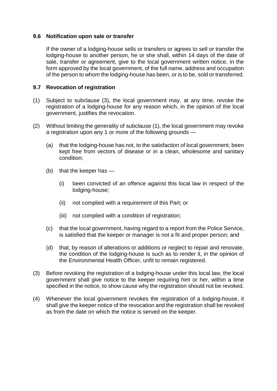## **9.6 Notification upon sale or transfer**

If the owner of a lodging-house sells or transfers or agrees to sell or transfer the lodging-house to another person, he or she shall, within 14 days of the date of sale, transfer or agreement, give to the local government written notice, in the form approved by the local government, of the full name, address and occupation of the person to whom the lodging-house has been, or is to be, sold or transferred.

## **9.7 Revocation of registration**

- (1) Subject to subclause (3), the local government may, at any time, revoke the registration of a lodging-house for any reason which, in the opinion of the local government, justifies the revocation.
- (2) Without limiting the generality of subclause (1), the local government may revoke a registration upon any 1 or more of the following grounds —
	- (a) that the lodging-house has not, to the satisfaction of local government, been kept free from vectors of disease or in a clean, wholesome and sanitary condition;
	- (b) that the keeper has
		- (i) been convicted of an offence against this local law in respect of the lodging-house;
		- (ii) not complied with a requirement of this Part; or
		- (iii) not complied with a condition of registration;
	- (c) that the local government, having regard to a report from the Police Service, is satisfied that the keeper or manager is not a fit and proper person; and
	- (d) that, by reason of alterations or additions or neglect to repair and renovate, the condition of the lodging-house is such as to render it, in the opinion of the Environmental Health Officer, unfit to remain registered.
- (3) Before revoking the registration of a lodging-house under this local law, the local government shall give notice to the keeper requiring him or her, within a time specified in the notice, to show cause why the registration should not be revoked.
- (4) Whenever the local government revokes the registration of a lodging-house, it shall give the keeper notice of the revocation and the registration shall be revoked as from the date on which the notice is served on the keeper.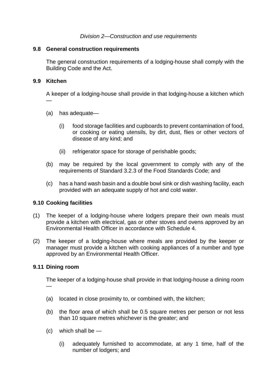#### **9.8 General construction requirements**

The general construction requirements of a lodging-house shall comply with the Building Code and the Act.

#### **9.9 Kitchen**

—

A keeper of a lodging-house shall provide in that lodging-house a kitchen which

- (a) has adequate—
	- (i) food storage facilities and cupboards to prevent contamination of food, or cooking or eating utensils, by dirt, dust, flies or other vectors of disease of any kind; and
	- (ii) refrigerator space for storage of perishable goods;
- (b) may be required by the local government to comply with any of the requirements of Standard 3.2.3 of the Food Standards Code; and
- (c) has a hand wash basin and a double bowl sink or dish washing facility, each provided with an adequate supply of hot and cold water.

## **9.10 Cooking facilities**

- (1) The keeper of a lodging-house where lodgers prepare their own meals must provide a kitchen with electrical, gas or other stoves and ovens approved by an Environmental Health Officer in accordance with Schedule 4.
- (2) The keeper of a lodging-house where meals are provided by the keeper or manager must provide a kitchen with cooking appliances of a number and type approved by an Environmental Health Officer.

## **9.11 Dining room**

The keeper of a lodging-house shall provide in that lodging-house a dining room —

- (a) located in close proximity to, or combined with, the kitchen;
- (b) the floor area of which shall be 0.5 square metres per person or not less than 10 square metres whichever is the greater; and
- $(c)$  which shall be  $-$ 
	- (i) adequately furnished to accommodate, at any 1 time, half of the number of lodgers; and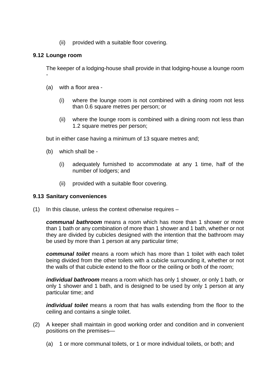(ii) provided with a suitable floor covering.

# **9.12 Lounge room**

-

The keeper of a lodging-house shall provide in that lodging-house a lounge room

- (a) with a floor area
	- (i) where the lounge room is not combined with a dining room not less than 0.6 square metres per person; or
	- (ii) where the lounge room is combined with a dining room not less than 1.2 square metres per person;

but in either case having a minimum of 13 square metres and;

- (b) which shall be
	- (i) adequately furnished to accommodate at any 1 time, half of the number of lodgers; and
	- (ii) provided with a suitable floor covering.

#### **9.13 Sanitary conveniences**

(1) In this clause, unless the context otherwise requires –

*communal bathroom* means a room which has more than 1 shower or more than 1 bath or any combination of more than 1 shower and 1 bath, whether or not they are divided by cubicles designed with the intention that the bathroom may be used by more than 1 person at any particular time;

*communal toilet* means a room which has more than 1 toilet with each toilet being divided from the other toilets with a cubicle surrounding it, whether or not the walls of that cubicle extend to the floor or the ceiling or both of the room;

*individual bathroom* means a room which has only 1 shower, or only 1 bath, or only 1 shower and 1 bath, and is designed to be used by only 1 person at any particular time; and

*individual toilet* means a room that has walls extending from the floor to the ceiling and contains a single toilet.

- (2) A keeper shall maintain in good working order and condition and in convenient positions on the premises—
	- (a) 1 or more communal toilets, or 1 or more individual toilets, or both; and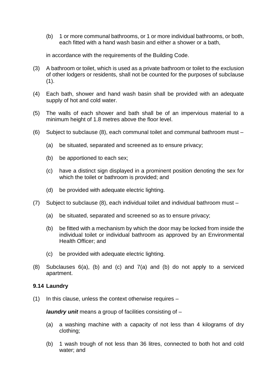(b) 1 or more communal bathrooms, or 1 or more individual bathrooms, or both, each fitted with a hand wash basin and either a shower or a bath,

in accordance with the requirements of the Building Code.

- (3) A bathroom or toilet, which is used as a private bathroom or toilet to the exclusion of other lodgers or residents, shall not be counted for the purposes of subclause  $(1).$
- (4) Each bath, shower and hand wash basin shall be provided with an adequate supply of hot and cold water.
- (5) The walls of each shower and bath shall be of an impervious material to a minimum height of 1.8 metres above the floor level.
- (6) Subject to subclause (8), each communal toilet and communal bathroom must
	- (a) be situated, separated and screened as to ensure privacy;
	- (b) be apportioned to each sex;
	- (c) have a distinct sign displayed in a prominent position denoting the sex for which the toilet or bathroom is provided; and
	- (d) be provided with adequate electric lighting.
- (7) Subject to subclause (8), each individual toilet and individual bathroom must
	- (a) be situated, separated and screened so as to ensure privacy;
	- (b) be fitted with a mechanism by which the door may be locked from inside the individual toilet or individual bathroom as approved by an Environmental Health Officer; and
	- (c) be provided with adequate electric lighting.
- (8) Subclauses 6(a), (b) and (c) and 7(a) and (b) do not apply to a serviced apartment.

## **9.14 Laundry**

(1) In this clause, unless the context otherwise requires –

*laundry unit* means a group of facilities consisting of –

- (a) a washing machine with a capacity of not less than 4 kilograms of dry clothing;
- (b) 1 wash trough of not less than 36 litres, connected to both hot and cold water; and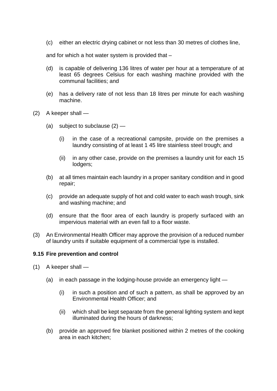(c) either an electric drying cabinet or not less than 30 metres of clothes line,

and for which a hot water system is provided that –

- (d) is capable of delivering 136 litres of water per hour at a temperature of at least 65 degrees Celsius for each washing machine provided with the communal facilities; and
- (e) has a delivery rate of not less than 18 litres per minute for each washing machine.
- (2) A keeper shall
	- (a) subject to subclause  $(2)$ 
		- (i) in the case of a recreational campsite, provide on the premises a laundry consisting of at least 1 45 litre stainless steel trough; and
		- (ii) in any other case, provide on the premises a laundry unit for each 15 lodgers;
	- (b) at all times maintain each laundry in a proper sanitary condition and in good repair;
	- (c) provide an adequate supply of hot and cold water to each wash trough, sink and washing machine; and
	- (d) ensure that the floor area of each laundry is properly surfaced with an impervious material with an even fall to a floor waste.
- (3) An Environmental Health Officer may approve the provision of a reduced number of laundry units if suitable equipment of a commercial type is installed.

## **9.15 Fire prevention and control**

- $(1)$  A keeper shall
	- (a) in each passage in the lodging-house provide an emergency light
		- (i) in such a position and of such a pattern, as shall be approved by an Environmental Health Officer; and
		- (ii) which shall be kept separate from the general lighting system and kept illuminated during the hours of darkness;
	- (b) provide an approved fire blanket positioned within 2 metres of the cooking area in each kitchen;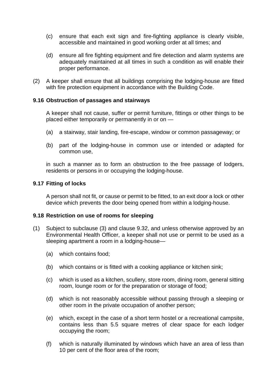- (c) ensure that each exit sign and fire-fighting appliance is clearly visible, accessible and maintained in good working order at all times; and
- (d) ensure all fire fighting equipment and fire detection and alarm systems are adequately maintained at all times in such a condition as will enable their proper performance.
- (2) A keeper shall ensure that all buildings comprising the lodging-house are fitted with fire protection equipment in accordance with the Building Code.

#### **9.16 Obstruction of passages and stairways**

A keeper shall not cause, suffer or permit furniture, fittings or other things to be placed either temporarily or permanently in or on —

- (a) a stairway, stair landing, fire-escape, window or common passageway; or
- (b) part of the lodging-house in common use or intended or adapted for common use,

in such a manner as to form an obstruction to the free passage of lodgers, residents or persons in or occupying the lodging-house.

#### **9.17 Fitting of locks**

A person shall not fit, or cause or permit to be fitted, to an exit door a lock or other device which prevents the door being opened from within a lodging-house.

#### **9.18 Restriction on use of rooms for sleeping**

- (1) Subject to subclause (3) and clause 9.32, and unless otherwise approved by an Environmental Health Officer, a keeper shall not use or permit to be used as a sleeping apartment a room in a lodging-house—
	- (a) which contains food;
	- (b) which contains or is fitted with a cooking appliance or kitchen sink;
	- (c) which is used as a kitchen, scullery, store room, dining room, general sitting room, lounge room or for the preparation or storage of food;
	- (d) which is not reasonably accessible without passing through a sleeping or other room in the private occupation of another person;
	- (e) which, except in the case of a short term hostel or a recreational campsite, contains less than 5.5 square metres of clear space for each lodger occupying the room;
	- (f) which is naturally illuminated by windows which have an area of less than 10 per cent of the floor area of the room;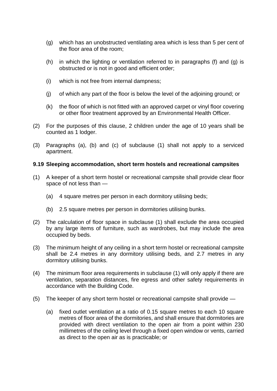- (g) which has an unobstructed ventilating area which is less than 5 per cent of the floor area of the room;
- (h) in which the lighting or ventilation referred to in paragraphs (f) and (g) is obstructed or is not in good and efficient order;
- (i) which is not free from internal dampness;
- (j) of which any part of the floor is below the level of the adjoining ground; or
- (k) the floor of which is not fitted with an approved carpet or vinyl floor covering or other floor treatment approved by an Environmental Health Officer.
- (2) For the purposes of this clause, 2 children under the age of 10 years shall be counted as 1 lodger.
- (3) Paragraphs (a), (b) and (c) of subclause (1) shall not apply to a serviced apartment.

## **9.19 Sleeping accommodation, short term hostels and recreational campsites**

- (1) A keeper of a short term hostel or recreational campsite shall provide clear floor space of not less than —
	- (a) 4 square metres per person in each dormitory utilising beds;
	- (b) 2.5 square metres per person in dormitories utilising bunks.
- (2) The calculation of floor space in subclause (1) shall exclude the area occupied by any large items of furniture, such as wardrobes, but may include the area occupied by beds.
- (3) The minimum height of any ceiling in a short term hostel or recreational campsite shall be 2.4 metres in any dormitory utilising beds, and 2.7 metres in any dormitory utilising bunks.
- (4) The minimum floor area requirements in subclause (1) will only apply if there are ventilation, separation distances, fire egress and other safety requirements in accordance with the Building Code.
- (5) The keeper of any short term hostel or recreational campsite shall provide
	- (a) fixed outlet ventilation at a ratio of 0.15 square metres to each 10 square metres of floor area of the dormitories, and shall ensure that dormitories are provided with direct ventilation to the open air from a point within 230 millimetres of the ceiling level through a fixed open window or vents, carried as direct to the open air as is practicable; or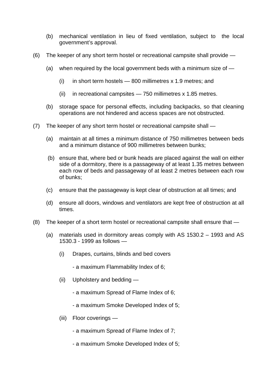- (b) mechanical ventilation in lieu of fixed ventilation, subject to the local government's approval.
- (6) The keeper of any short term hostel or recreational campsite shall provide
	- (a) when required by the local government beds with a minimum size of  $-$ 
		- (i) in short term hostels  $-$  800 millimetres x 1.9 metres; and
		- (ii) in recreational campsites 750 millimetres x 1.85 metres.
	- (b) storage space for personal effects, including backpacks, so that cleaning operations are not hindered and access spaces are not obstructed.
- (7) The keeper of any short term hostel or recreational campsite shall
	- (a) maintain at all times a minimum distance of 750 millimetres between beds and a minimum distance of 900 millimetres between bunks;
	- (b) ensure that, where bed or bunk heads are placed against the wall on either side of a dormitory, there is a passageway of at least 1.35 metres between each row of beds and passageway of at least 2 metres between each row of bunks;
	- (c) ensure that the passageway is kept clear of obstruction at all times; and
	- (d) ensure all doors, windows and ventilators are kept free of obstruction at all times.
- (8) The keeper of a short term hostel or recreational campsite shall ensure that
	- (a) materials used in dormitory areas comply with AS 1530.2 1993 and AS 1530.3 - 1999 as follows —
		- (i) Drapes, curtains, blinds and bed covers
			- a maximum Flammability Index of 6;
		- (ii) Upholstery and bedding
			- a maximum Spread of Flame Index of 6;
			- a maximum Smoke Developed Index of 5;
		- (iii) Floor coverings
			- a maximum Spread of Flame Index of 7;
			- a maximum Smoke Developed Index of 5;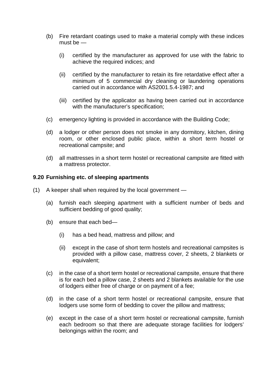- (b) Fire retardant coatings used to make a material comply with these indices must be —
	- (i) certified by the manufacturer as approved for use with the fabric to achieve the required indices; and
	- (ii) certified by the manufacturer to retain its fire retardative effect after a minimum of 5 commercial dry cleaning or laundering operations carried out in accordance with AS2001.5.4-1987; and
	- (iii) certified by the applicator as having been carried out in accordance with the manufacturer's specification;
- (c) emergency lighting is provided in accordance with the Building Code;
- (d) a lodger or other person does not smoke in any dormitory, kitchen, dining room, or other enclosed public place, within a short term hostel or recreational campsite; and
- (d) all mattresses in a short term hostel or recreational campsite are fitted with a mattress protector.

## **9.20 Furnishing etc. of sleeping apartments**

- (1) A keeper shall when required by the local government
	- (a) furnish each sleeping apartment with a sufficient number of beds and sufficient bedding of good quality;
	- (b) ensure that each bed—
		- (i) has a bed head, mattress and pillow; and
		- (ii) except in the case of short term hostels and recreational campsites is provided with a pillow case, mattress cover, 2 sheets, 2 blankets or equivalent;
	- (c) in the case of a short term hostel or recreational campsite, ensure that there is for each bed a pillow case, 2 sheets and 2 blankets available for the use of lodgers either free of charge or on payment of a fee;
	- (d) in the case of a short term hostel or recreational campsite, ensure that lodgers use some form of bedding to cover the pillow and mattress;
	- (e) except in the case of a short term hostel or recreational campsite, furnish each bedroom so that there are adequate storage facilities for lodgers' belongings within the room; and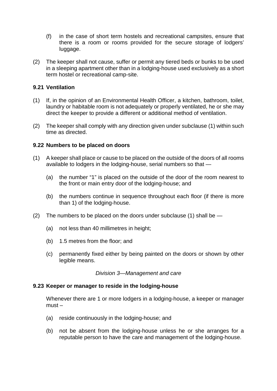- (f) in the case of short term hostels and recreational campsites, ensure that there is a room or rooms provided for the secure storage of lodgers' luggage.
- (2) The keeper shall not cause, suffer or permit any tiered beds or bunks to be used in a sleeping apartment other than in a lodging-house used exclusively as a short term hostel or recreational camp-site.

# **9.21 Ventilation**

- (1) If, in the opinion of an Environmental Health Officer, a kitchen, bathroom, toilet, laundry or habitable room is not adequately or properly ventilated, he or she may direct the keeper to provide a different or additional method of ventilation.
- (2) The keeper shall comply with any direction given under subclause (1) within such time as directed.

## **9.22 Numbers to be placed on doors**

- (1) A keeper shall place or cause to be placed on the outside of the doors of all rooms available to lodgers in the lodging-house, serial numbers so that —
	- (a) the number "1" is placed on the outside of the door of the room nearest to the front or main entry door of the lodging-house; and
	- (b) the numbers continue in sequence throughout each floor (if there is more than 1) of the lodging-house.
- (2) The numbers to be placed on the doors under subclause (1) shall be  $-$ 
	- (a) not less than 40 millimetres in height;
	- (b) 1.5 metres from the floor; and
	- (c) permanently fixed either by being painted on the doors or shown by other legible means.

#### *Division 3—Management and care*

## **9.23 Keeper or manager to reside in the lodging-house**

Whenever there are 1 or more lodgers in a lodging-house, a keeper or manager must –

- (a) reside continuously in the lodging-house; and
- (b) not be absent from the lodging-house unless he or she arranges for a reputable person to have the care and management of the lodging-house.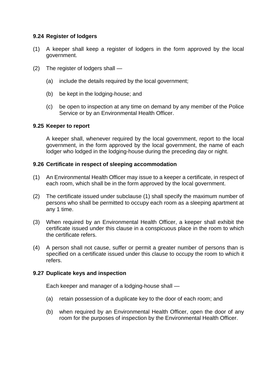## **9.24 Register of lodgers**

- (1) A keeper shall keep a register of lodgers in the form approved by the local government.
- (2) The register of lodgers shall
	- (a) include the details required by the local government;
	- (b) be kept in the lodging-house; and
	- (c) be open to inspection at any time on demand by any member of the Police Service or by an Environmental Health Officer.

## **9.25 Keeper to report**

A keeper shall, whenever required by the local government, report to the local government, in the form approved by the local government, the name of each lodger who lodged in the lodging-house during the preceding day or night.

#### **9.26 Certificate in respect of sleeping accommodation**

- (1) An Environmental Health Officer may issue to a keeper a certificate, in respect of each room, which shall be in the form approved by the local government.
- (2) The certificate issued under subclause (1) shall specify the maximum number of persons who shall be permitted to occupy each room as a sleeping apartment at any 1 time.
- (3) When required by an Environmental Health Officer, a keeper shall exhibit the certificate issued under this clause in a conspicuous place in the room to which the certificate refers.
- (4) A person shall not cause, suffer or permit a greater number of persons than is specified on a certificate issued under this clause to occupy the room to which it refers.

## **9.27 Duplicate keys and inspection**

Each keeper and manager of a lodging-house shall —

- (a) retain possession of a duplicate key to the door of each room; and
- (b) when required by an Environmental Health Officer, open the door of any room for the purposes of inspection by the Environmental Health Officer.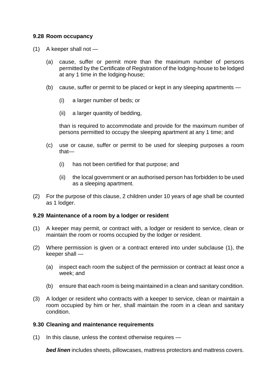# **9.28 Room occupancy**

- (1) A keeper shall not
	- (a) cause, suffer or permit more than the maximum number of persons permitted by the Certificate of Registration of the lodging-house to be lodged at any 1 time in the lodging-house;
	- (b) cause, suffer or permit to be placed or kept in any sleeping apartments
		- (i) a larger number of beds; or
		- (ii) a larger quantity of bedding,

than is required to accommodate and provide for the maximum number of persons permitted to occupy the sleeping apartment at any 1 time; and

- (c) use or cause, suffer or permit to be used for sleeping purposes a room that—
	- (i) has not been certified for that purpose; and
	- (ii) the local government or an authorised person has forbidden to be used as a sleeping apartment.
- (2) For the purpose of this clause, 2 children under 10 years of age shall be counted as 1 lodger.

#### **9.29 Maintenance of a room by a lodger or resident**

- (1) A keeper may permit, or contract with, a lodger or resident to service, clean or maintain the room or rooms occupied by the lodger or resident.
- (2) Where permission is given or a contract entered into under subclause (1), the keeper shall —
	- (a) inspect each room the subject of the permission or contract at least once a week; and
	- (b) ensure that each room is being maintained in a clean and sanitary condition.
- (3) A lodger or resident who contracts with a keeper to service, clean or maintain a room occupied by him or her, shall maintain the room in a clean and sanitary condition.

#### **9.30 Cleaning and maintenance requirements**

(1) In this clause, unless the context otherwise requires —

*bed linen* includes sheets, pillowcases, mattress protectors and mattress covers.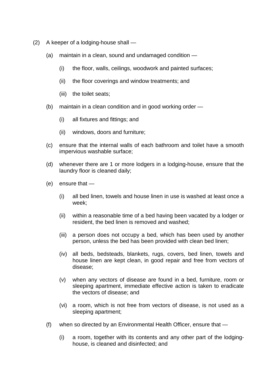- (2) A keeper of a lodging-house shall
	- (a) maintain in a clean, sound and undamaged condition
		- (i) the floor, walls, ceilings, woodwork and painted surfaces;
		- (ii) the floor coverings and window treatments; and
		- (iii) the toilet seats;
	- (b) maintain in a clean condition and in good working order
		- (i) all fixtures and fittings; and
		- (ii) windows, doors and furniture;
	- (c) ensure that the internal walls of each bathroom and toilet have a smooth impervious washable surface;
	- (d) whenever there are 1 or more lodgers in a lodging-house, ensure that the laundry floor is cleaned daily;
	- (e) ensure that
		- (i) all bed linen, towels and house linen in use is washed at least once a week;
		- (ii) within a reasonable time of a bed having been vacated by a lodger or resident, the bed linen is removed and washed;
		- (iii) a person does not occupy a bed, which has been used by another person, unless the bed has been provided with clean bed linen;
		- (iv) all beds, bedsteads, blankets, rugs, covers, bed linen, towels and house linen are kept clean, in good repair and free from vectors of disease;
		- (v) when any vectors of disease are found in a bed, furniture, room or sleeping apartment, immediate effective action is taken to eradicate the vectors of disease; and
		- (vi) a room, which is not free from vectors of disease, is not used as a sleeping apartment;
	- (f) when so directed by an Environmental Health Officer, ensure that
		- (i) a room, together with its contents and any other part of the lodginghouse, is cleaned and disinfected; and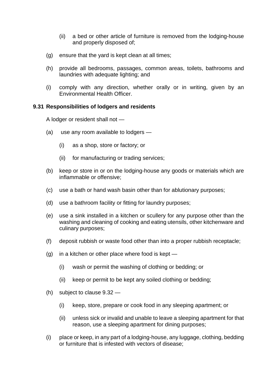- (ii) a bed or other article of furniture is removed from the lodging-house and properly disposed of;
- (g) ensure that the yard is kept clean at all times;
- (h) provide all bedrooms, passages, common areas, toilets, bathrooms and laundries with adequate lighting; and
- (i) comply with any direction, whether orally or in writing, given by an Environmental Health Officer.

## **9.31 Responsibilities of lodgers and residents**

A lodger or resident shall not —

- (a) use any room available to lodgers
	- (i) as a shop, store or factory; or
	- (ii) for manufacturing or trading services;
- (b) keep or store in or on the lodging-house any goods or materials which are inflammable or offensive;
- (c) use a bath or hand wash basin other than for ablutionary purposes;
- (d) use a bathroom facility or fitting for laundry purposes;
- (e) use a sink installed in a kitchen or scullery for any purpose other than the washing and cleaning of cooking and eating utensils, other kitchenware and culinary purposes;
- (f) deposit rubbish or waste food other than into a proper rubbish receptacle;
- $(g)$  in a kitchen or other place where food is kept
	- (i) wash or permit the washing of clothing or bedding; or
	- (ii) keep or permit to be kept any soiled clothing or bedding;
- (h) subject to clause 9.32
	- (i) keep, store, prepare or cook food in any sleeping apartment; or
	- (ii) unless sick or invalid and unable to leave a sleeping apartment for that reason, use a sleeping apartment for dining purposes;
- (i) place or keep, in any part of a lodging-house, any luggage, clothing, bedding or furniture that is infested with vectors of disease;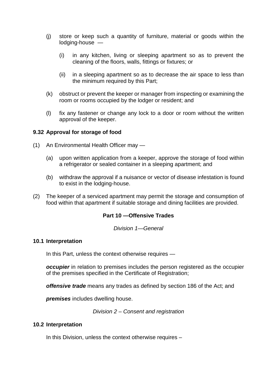- (j) store or keep such a quantity of furniture, material or goods within the lodging-house —
	- (i) in any kitchen, living or sleeping apartment so as to prevent the cleaning of the floors, walls, fittings or fixtures; or
	- (ii) in a sleeping apartment so as to decrease the air space to less than the minimum required by this Part;
- (k) obstruct or prevent the keeper or manager from inspecting or examining the room or rooms occupied by the lodger or resident; and
- (l) fix any fastener or change any lock to a door or room without the written approval of the keeper.

# **9.32 Approval for storage of food**

- (1) An Environmental Health Officer may
	- (a) upon written application from a keeper, approve the storage of food within a refrigerator or sealed container in a sleeping apartment; and
	- (b) withdraw the approval if a nuisance or vector of disease infestation is found to exist in the lodging-house.
- (2) The keeper of a serviced apartment may permit the storage and consumption of food within that apartment if suitable storage and dining facilities are provided.

## **Part 10 —Offensive Trades**

*Division 1—General*

## **10.1 Interpretation**

In this Part, unless the context otherwise requires —

*occupier* in relation to premises includes the person registered as the occupier of the premises specified in the Certificate of Registration;

*offensive trade* means any trades as defined by section 186 of the Act; and

*premises* includes dwelling house.

*Division 2 – Consent and registration*

#### **10.2 Interpretation**

In this Division, unless the context otherwise requires –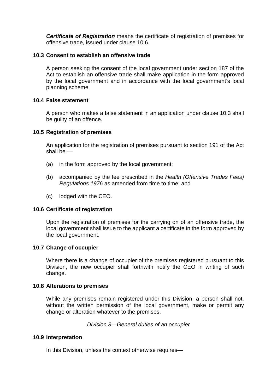*Certificate of Registration* means the certificate of registration of premises for offensive trade, issued under clause 10.6.

## **10.3 Consent to establish an offensive trade**

A person seeking the consent of the local government under section 187 of the Act to establish an offensive trade shall make application in the form approved by the local government and in accordance with the local government's local planning scheme.

#### **10.4 False statement**

A person who makes a false statement in an application under clause 10.3 shall be guilty of an offence.

#### **10.5 Registration of premises**

An application for the registration of premises pursuant to section 191 of the Act shall be —

- (a) in the form approved by the local government;
- (b) accompanied by the fee prescribed in the *Health (Offensive Trades Fees) Regulations 1976* as amended from time to time; and
- (c) lodged with the CEO.

#### **10.6 Certificate of registration**

Upon the registration of premises for the carrying on of an offensive trade, the local government shall issue to the applicant a certificate in the form approved by the local government.

#### **10.7 Change of occupier**

Where there is a change of occupier of the premises registered pursuant to this Division, the new occupier shall forthwith notify the CEO in writing of such change.

#### **10.8 Alterations to premises**

While any premises remain registered under this Division, a person shall not, without the written permission of the local government, make or permit any change or alteration whatever to the premises.

*Division 3—General duties of an occupier*

#### **10.9 Interpretation**

In this Division, unless the context otherwise requires—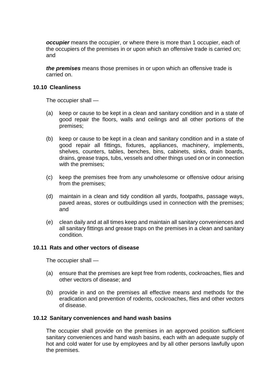*occupier* means the occupier, or where there is more than 1 occupier, each of the occupiers of the premises in or upon which an offensive trade is carried on; and

*the premises* means those premises in or upon which an offensive trade is carried on.

#### **10.10 Cleanliness**

The occupier shall —

- (a) keep or cause to be kept in a clean and sanitary condition and in a state of good repair the floors, walls and ceilings and all other portions of the premises;
- (b) keep or cause to be kept in a clean and sanitary condition and in a state of good repair all fittings, fixtures, appliances, machinery, implements, shelves, counters, tables, benches, bins, cabinets, sinks, drain boards, drains, grease traps, tubs, vessels and other things used on or in connection with the premises;
- (c) keep the premises free from any unwholesome or offensive odour arising from the premises;
- (d) maintain in a clean and tidy condition all yards, footpaths, passage ways, paved areas, stores or outbuildings used in connection with the premises; and
- (e) clean daily and at all times keep and maintain all sanitary conveniences and all sanitary fittings and grease traps on the premises in a clean and sanitary condition.

#### **10.11 Rats and other vectors of disease**

The occupier shall —

- (a) ensure that the premises are kept free from rodents, cockroaches, flies and other vectors of disease; and
- (b) provide in and on the premises all effective means and methods for the eradication and prevention of rodents, cockroaches, flies and other vectors of disease.

#### **10.12 Sanitary conveniences and hand wash basins**

The occupier shall provide on the premises in an approved position sufficient sanitary conveniences and hand wash basins, each with an adequate supply of hot and cold water for use by employees and by all other persons lawfully upon the premises.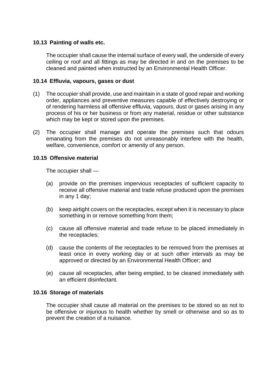## **10.13 Painting of walls etc.**

The occupier shall cause the internal surface of every wall, the underside of every ceiling or roof and all fittings as may be directed in and on the premises to be cleaned and painted when instructed by an Environmental Health Officer.

#### **10.14 Effluvia, vapours, gases or dust**

- (1) The occupier shall provide, use and maintain in a state of good repair and working order, appliances and preventive measures capable of effectively destroying or of rendering harmless all offensive effluvia, vapours, dust or gases arising in any process of his or her business or from any material, residue or other substance which may be kept or stored upon the premises.
- (2) The occupier shall manage and operate the premises such that odours emanating from the premises do not unreasonably interfere with the health, welfare, convenience, comfort or amenity of any person.

#### **10.15 Offensive material**

The occupier shall —

- (a) provide on the premises impervious receptacles of sufficient capacity to receive all offensive material and trade refuse produced upon the premises in any 1 day;
- (b) keep airtight covers on the receptacles, except when it is necessary to place something in or remove something from them;
- (c) cause all offensive material and trade refuse to be placed immediately in the receptacles;
- (d) cause the contents of the receptacles to be removed from the premises at least once in every working day or at such other intervals as may be approved or directed by an Environmental Health Officer; and
- (e) cause all receptacles, after being emptied, to be cleaned immediately with an efficient disinfectant.

## **10.16 Storage of materials**

The occupier shall cause all material on the premises to be stored so as not to be offensive or injurious to health whether by smell or otherwise and so as to prevent the creation of a nuisance.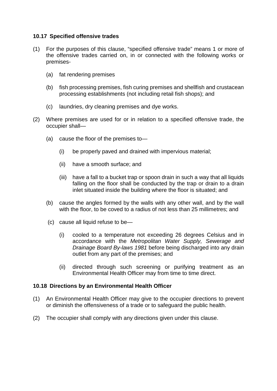## **10.17 Specified offensive trades**

- (1) For the purposes of this clause, "specified offensive trade" means 1 or more of the offensive trades carried on, in or connected with the following works or premises-
	- (a) fat rendering premises
	- (b) fish processing premises, fish curing premises and shellfish and crustacean processing establishments (not including retail fish shops); and
	- (c) laundries, dry cleaning premises and dye works.
- (2) Where premises are used for or in relation to a specified offensive trade, the occupier shall—
	- (a) cause the floor of the premises to—
		- (i) be properly paved and drained with impervious material;
		- (ii) have a smooth surface; and
		- (iii) have a fall to a bucket trap or spoon drain in such a way that all liquids falling on the floor shall be conducted by the trap or drain to a drain inlet situated inside the building where the floor is situated; and
	- (b) cause the angles formed by the walls with any other wall, and by the wall with the floor, to be coved to a radius of not less than 25 millimetres; and
	- (c) cause all liquid refuse to be—
		- (i) cooled to a temperature not exceeding 26 degrees Celsius and in accordance with the *Metropolitan Water Supply, Sewerage and Drainage Board By-laws 1981* before being discharged into any drain outlet from any part of the premises; and
		- (ii) directed through such screening or purifying treatment as an Environmental Health Officer may from time to time direct.

# **10.18 Directions by an Environmental Health Officer**

- (1) An Environmental Health Officer may give to the occupier directions to prevent or diminish the offensiveness of a trade or to safeguard the public health.
- (2) The occupier shall comply with any directions given under this clause.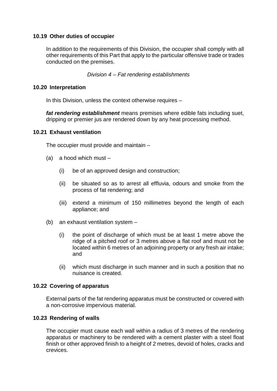# **10.19 Other duties of occupier**

In addition to the requirements of this Division, the occupier shall comply with all other requirements of this Part that apply to the particular offensive trade or trades conducted on the premises.

*Division 4 – Fat rendering establishments*

#### **10.20 Interpretation**

In this Division, unless the context otherwise requires –

*fat rendering establishment* means premises where edible fats including suet, dripping or premier jus are rendered down by any heat processing method.

#### **10.21 Exhaust ventilation**

The occupier must provide and maintain –

- (a) a hood which must
	- (i) be of an approved design and construction;
	- (ii) be situated so as to arrest all effluvia, odours and smoke from the process of fat rendering; and
	- (iii) extend a minimum of 150 millimetres beyond the length of each appliance; and
- (b) an exhaust ventilation system
	- (i) the point of discharge of which must be at least 1 metre above the ridge of a pitched roof or 3 metres above a flat roof and must not be located within 6 metres of an adjoining property or any fresh air intake; and
	- (ii) which must discharge in such manner and in such a position that no nuisance is created.

## **10.22 Covering of apparatus**

External parts of the fat rendering apparatus must be constructed or covered with a non-corrosive impervious material.

## **10.23 Rendering of walls**

The occupier must cause each wall within a radius of 3 metres of the rendering apparatus or machinery to be rendered with a cement plaster with a steel float finish or other approved finish to a height of 2 metres, devoid of holes, cracks and crevices.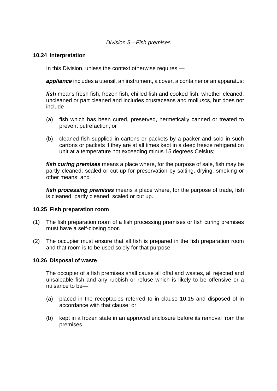#### *Division 5—Fish premises*

#### **10.24 Interpretation**

In this Division, unless the context otherwise requires —

*appliance* includes a utensil, an instrument, a cover, a container or an apparatus;

*fish* means fresh fish, frozen fish, chilled fish and cooked fish, whether cleaned, uncleaned or part cleaned and includes crustaceans and molluscs, but does not include –

- (a) fish which has been cured, preserved, hermetically canned or treated to prevent putrefaction; or
- (b) cleaned fish supplied in cartons or packets by a packer and sold in such cartons or packets if they are at all times kept in a deep freeze refrigeration unit at a temperature not exceeding minus 15 degrees Celsius;

*fish curing premises* means a place where, for the purpose of sale, fish may be partly cleaned, scaled or cut up for preservation by salting, drying, smoking or other means; and

*fish processing premises* means a place where, for the purpose of trade, fish is cleaned, partly cleaned, scaled or cut up.

## **10.25 Fish preparation room**

- (1) The fish preparation room of a fish processing premises or fish curing premises must have a self-closing door.
- (2) The occupier must ensure that all fish is prepared in the fish preparation room and that room is to be used solely for that purpose.

#### **10.26 Disposal of waste**

The occupier of a fish premises shall cause all offal and wastes, all rejected and unsaleable fish and any rubbish or refuse which is likely to be offensive or a nuisance to be—

- (a) placed in the receptacles referred to in clause 10.15 and disposed of in accordance with that clause; or
- (b) kept in a frozen state in an approved enclosure before its removal from the premises.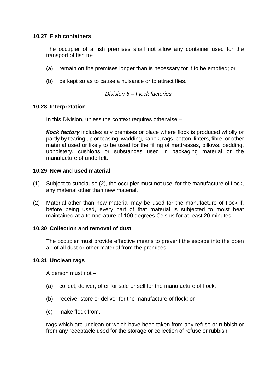# **10.27 Fish containers**

The occupier of a fish premises shall not allow any container used for the transport of fish to-

- (a) remain on the premises longer than is necessary for it to be emptied; or
- (b) be kept so as to cause a nuisance or to attract flies.

## *Division 6 – Flock factories*

## **10.28 Interpretation**

In this Division, unless the context requires otherwise –

*flock factory* includes any premises or place where flock is produced wholly or partly by tearing up or teasing, wadding, kapok, rags, cotton, linters, fibre, or other material used or likely to be used for the filling of mattresses, pillows, bedding, upholstery, cushions or substances used in packaging material or the manufacture of underfelt.

## **10.29 New and used material**

- (1) Subject to subclause (2), the occupier must not use, for the manufacture of flock, any material other than new material.
- (2) Material other than new material may be used for the manufacture of flock if, before being used, every part of that material is subjected to moist heat maintained at a temperature of 100 degrees Celsius for at least 20 minutes.

## **10.30 Collection and removal of dust**

The occupier must provide effective means to prevent the escape into the open air of all dust or other material from the premises.

## **10.31 Unclean rags**

A person must not –

- (a) collect, deliver, offer for sale or sell for the manufacture of flock;
- (b) receive, store or deliver for the manufacture of flock; or
- (c) make flock from,

rags which are unclean or which have been taken from any refuse or rubbish or from any receptacle used for the storage or collection of refuse or rubbish.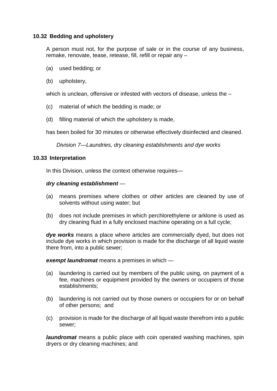# **10.32 Bedding and upholstery**

A person must not, for the purpose of sale or in the course of any business, remake, renovate, tease, retease, fill, refill or repair any –

- (a) used bedding; or
- (b) upholstery,

which is unclean, offensive or infested with vectors of disease, unless the  $-$ 

- (c) material of which the bedding is made; or
- (d) filling material of which the upholstery is made,

has been boiled for 30 minutes or otherwise effectively disinfected and cleaned.

*Division 7—Laundries, dry cleaning establishments and dye works*

#### **10.33 Interpretation**

In this Division, unless the context otherwise requires—

#### *dry cleaning establishment* —

- (a) means premises where clothes or other articles are cleaned by use of solvents without using water; but
- (b) does not include premises in which perchlorethylene or arklone is used as dry cleaning fluid in a fully enclosed machine operating on a full cycle;

*dye works* means a place where articles are commercially dyed, but does not include dye works in which provision is made for the discharge of all liquid waste there from, into a public sewer;

*exempt laundromat* means a premises in which —

- (a) laundering is carried out by members of the public using, on payment of a fee, machines or equipment provided by the owners or occupiers of those establishments;
- (b) laundering is not carried out by those owners or occupiers for or on behalf of other persons; and
- (c) provision is made for the discharge of all liquid waste therefrom into a public sewer;

*laundromat* means a public place with coin operated washing machines, spin dryers or dry cleaning machines; and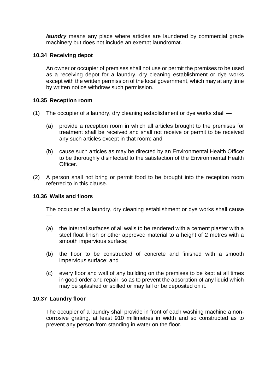*laundry* means any place where articles are laundered by commercial grade machinery but does not include an exempt laundromat.

# **10.34 Receiving depot**

An owner or occupier of premises shall not use or permit the premises to be used as a receiving depot for a laundry, dry cleaning establishment or dye works except with the written permission of the local government, which may at any time by written notice withdraw such permission.

# **10.35 Reception room**

- (1) The occupier of a laundry, dry cleaning establishment or dye works shall
	- (a) provide a reception room in which all articles brought to the premises for treatment shall be received and shall not receive or permit to be received any such articles except in that room; and
	- (b) cause such articles as may be directed by an Environmental Health Officer to be thoroughly disinfected to the satisfaction of the Environmental Health Officer.
- (2) A person shall not bring or permit food to be brought into the reception room referred to in this clause.

## **10.36 Walls and floors**

—

The occupier of a laundry, dry cleaning establishment or dye works shall cause

- (a) the internal surfaces of all walls to be rendered with a cement plaster with a steel float finish or other approved material to a height of 2 metres with a smooth impervious surface;
- (b) the floor to be constructed of concrete and finished with a smooth impervious surface; and
- (c) every floor and wall of any building on the premises to be kept at all times in good order and repair, so as to prevent the absorption of any liquid which may be splashed or spilled or may fall or be deposited on it.

## **10.37 Laundry floor**

The occupier of a laundry shall provide in front of each washing machine a noncorrosive grating, at least 910 millimetres in width and so constructed as to prevent any person from standing in water on the floor.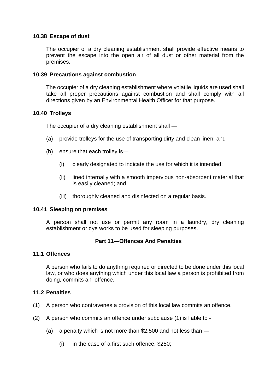## **10.38 Escape of dust**

The occupier of a dry cleaning establishment shall provide effective means to prevent the escape into the open air of all dust or other material from the premises.

#### **10.39 Precautions against combustion**

The occupier of a dry cleaning establishment where volatile liquids are used shall take all proper precautions against combustion and shall comply with all directions given by an Environmental Health Officer for that purpose.

#### **10.40 Trolleys**

The occupier of a dry cleaning establishment shall —

- (a) provide trolleys for the use of transporting dirty and clean linen; and
- (b) ensure that each trolley is—
	- (i) clearly designated to indicate the use for which it is intended;
	- (ii) lined internally with a smooth impervious non-absorbent material that is easily cleaned; and
	- (iii) thoroughly cleaned and disinfected on a regular basis.

#### **10.41 Sleeping on premises**

A person shall not use or permit any room in a laundry, dry cleaning establishment or dye works to be used for sleeping purposes.

## **Part 11—Offences And Penalties**

#### **11.1 Offences**

A person who fails to do anything required or directed to be done under this local law, or who does anything which under this local law a person is prohibited from doing, commits an offence.

#### **11.2 Penalties**

- (1) A person who contravenes a provision of this local law commits an offence.
- (2) A person who commits an offence under subclause (1) is liable to
	- (a) a penalty which is not more than  $$2,500$  and not less than  $-$ 
		- (i) in the case of a first such offence, \$250;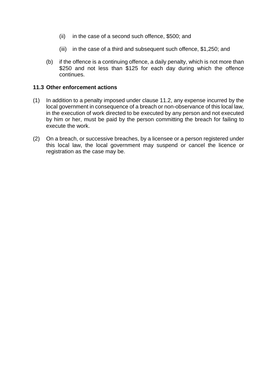- (ii) in the case of a second such offence, \$500; and
- (iii) in the case of a third and subsequent such offence, \$1,250; and
- (b) if the offence is a continuing offence, a daily penalty, which is not more than \$250 and not less than \$125 for each day during which the offence continues.

#### **11.3 Other enforcement actions**

- (1) In addition to a penalty imposed under clause 11.2, any expense incurred by the local government in consequence of a breach or non-observance of this local law, in the execution of work directed to be executed by any person and not executed by him or her, must be paid by the person committing the breach for failing to execute the work.
- (2) On a breach, or successive breaches, by a licensee or a person registered under this local law, the local government may suspend or cancel the licence or registration as the case may be.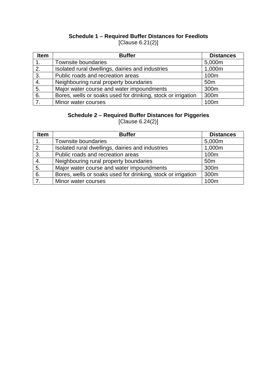# **Schedule 1 – Required Buffer Distances for Feedlots** [Clause 6.21(2)]

| <b>Item</b>    | <b>Buffer</b>                                                | <b>Distances</b> |  |
|----------------|--------------------------------------------------------------|------------------|--|
| 1.             | Townsite boundaries                                          | 5,000m           |  |
| 2.             | Isolated rural dwellings, dairies and industries             | 1,000m           |  |
| 3.             | Public roads and recreation areas                            | 100m             |  |
| 4.             | Neighbouring rural property boundaries                       | 50 <sub>m</sub>  |  |
| 5.             | Major water course and water impoundments                    | 300m             |  |
| 6.             | Bores, wells or soaks used for drinking, stock or irrigation | 300m             |  |
| 7 <sub>1</sub> | Minor water courses                                          | 100m             |  |

# **Schedule 2 – Required Buffer Distances for Piggeries**

[Clause 6.24(2)]

| <b>Item</b>    | <b>Buffer</b>                                                | <b>Distances</b> |  |
|----------------|--------------------------------------------------------------|------------------|--|
|                | Townsite boundaries                                          | 5,000m           |  |
| 2.             | Isolated rural dwellings, dairies and industries             | 1,000m           |  |
| 3.             | Public roads and recreation areas                            | 100 <sub>m</sub> |  |
| 4.             | Neighbouring rural property boundaries                       | 50 <sub>m</sub>  |  |
| 5.             | Major water course and water impoundments                    | 300m             |  |
| 6.             | Bores, wells or soaks used for drinking, stock or irrigation | 300m             |  |
| 7 <sub>1</sub> | Minor water courses                                          | 100m             |  |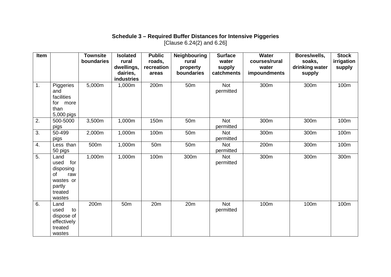# **Schedule 3 – Required Buffer Distances for Intensive Piggeries** [Clause 6.24(2) and 6.26]

| Item           |                                                                                           | <b>Townsite</b><br>boundaries | <b>Isolated</b><br>rural | <b>Public</b><br>roads, | <b>Neighbouring</b><br>rural | <b>Surface</b><br>water | <b>Water</b><br>courses/rural | Bores/wells,<br>soaks, | <b>Stock</b><br>irrigation |
|----------------|-------------------------------------------------------------------------------------------|-------------------------------|--------------------------|-------------------------|------------------------------|-------------------------|-------------------------------|------------------------|----------------------------|
|                |                                                                                           |                               | dwellings,               | recreation              | property                     | supply                  | water                         | drinking water         | supply                     |
|                |                                                                                           |                               | dairies,                 | areas                   | boundaries                   | catchments              | impoundments                  | supply                 |                            |
|                |                                                                                           |                               | industries               |                         |                              |                         |                               |                        |                            |
| $\mathbf{1}$ . | Piggeries<br>and<br>facilities<br>for<br>more<br>than<br>5,000 pigs                       | 5,000m                        | 1,000m                   | 200m                    | 50 <sub>m</sub>              | <b>Not</b><br>permitted | 300m                          | 300m                   | 100m                       |
| 2.             | 500-5000<br>pigs                                                                          | 3,500m                        | 1,000m                   | 150m                    | 50 <sub>m</sub>              | <b>Not</b><br>permitted | 300m                          | 300m                   | 100m                       |
| 3.             | 50-499<br>pigs                                                                            | 2,000m                        | 1,000m                   | 100m                    | 50 <sub>m</sub>              | <b>Not</b><br>permitted | 300m                          | 300m                   | 100m                       |
| 4.             | Less than<br>50 pigs                                                                      | 500m                          | 1,000m                   | 50 <sub>m</sub>         | 50 <sub>m</sub>              | <b>Not</b><br>permitted | 200m                          | 300m                   | 100m                       |
| 5.             | Land<br>used<br>for<br>disposing<br>of<br>raw<br>wastes or<br>partly<br>treated<br>wastes | 1,000m                        | 1,000m                   | 100m                    | 300m                         | <b>Not</b><br>permitted | 300m                          | 300m                   | 300m                       |
| 6.             | Land<br>to<br>used<br>dispose of<br>effectively<br>treated<br>wastes                      | 200m                          | 50 <sub>m</sub>          | 20m                     | 20 <sub>m</sub>              | <b>Not</b><br>permitted | 100m                          | 100m                   | 100m                       |